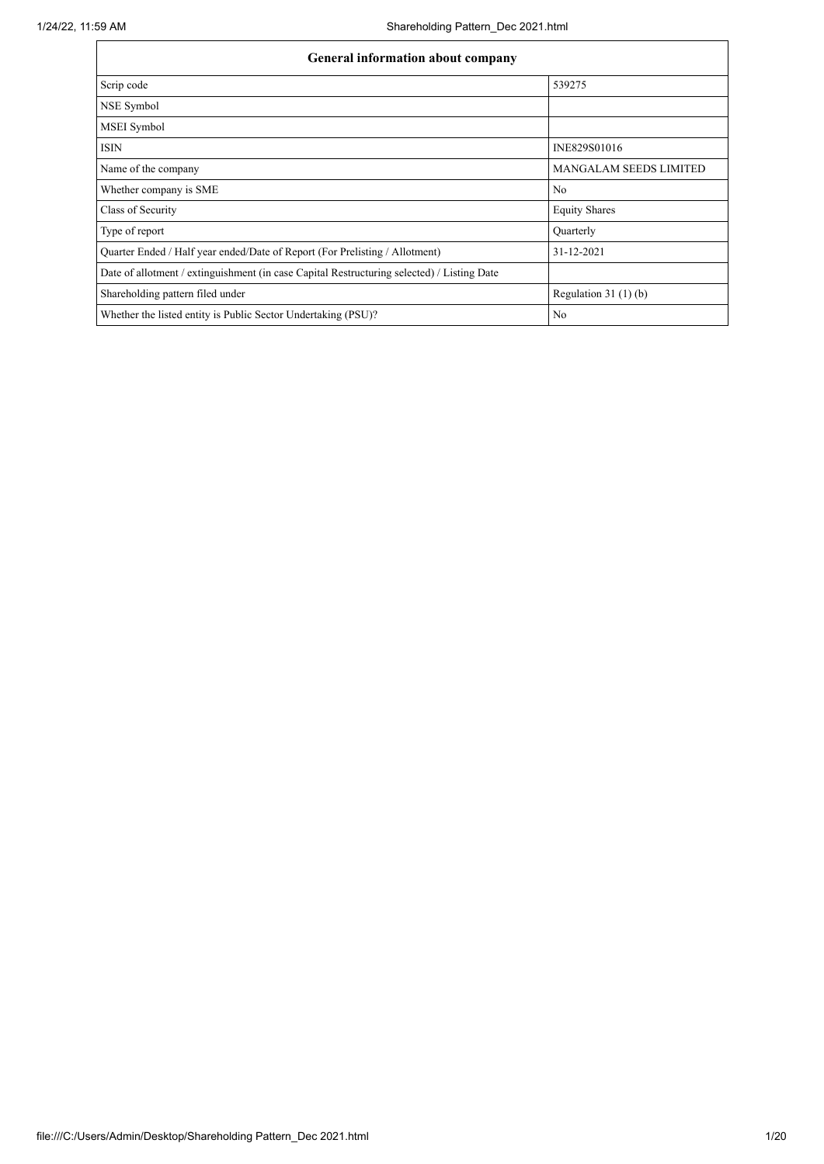| <b>General information about company</b>                                                   |                               |
|--------------------------------------------------------------------------------------------|-------------------------------|
| Scrip code                                                                                 | 539275                        |
| NSE Symbol                                                                                 |                               |
| MSEI Symbol                                                                                |                               |
| <b>ISIN</b>                                                                                | INE829S01016                  |
| Name of the company                                                                        | <b>MANGALAM SEEDS LIMITED</b> |
| Whether company is SME                                                                     | No                            |
| Class of Security                                                                          | <b>Equity Shares</b>          |
| Type of report                                                                             | Quarterly                     |
| Quarter Ended / Half year ended/Date of Report (For Prelisting / Allotment)                | 31-12-2021                    |
| Date of allotment / extinguishment (in case Capital Restructuring selected) / Listing Date |                               |
| Shareholding pattern filed under                                                           | Regulation $31(1)(b)$         |
| Whether the listed entity is Public Sector Undertaking (PSU)?                              | No                            |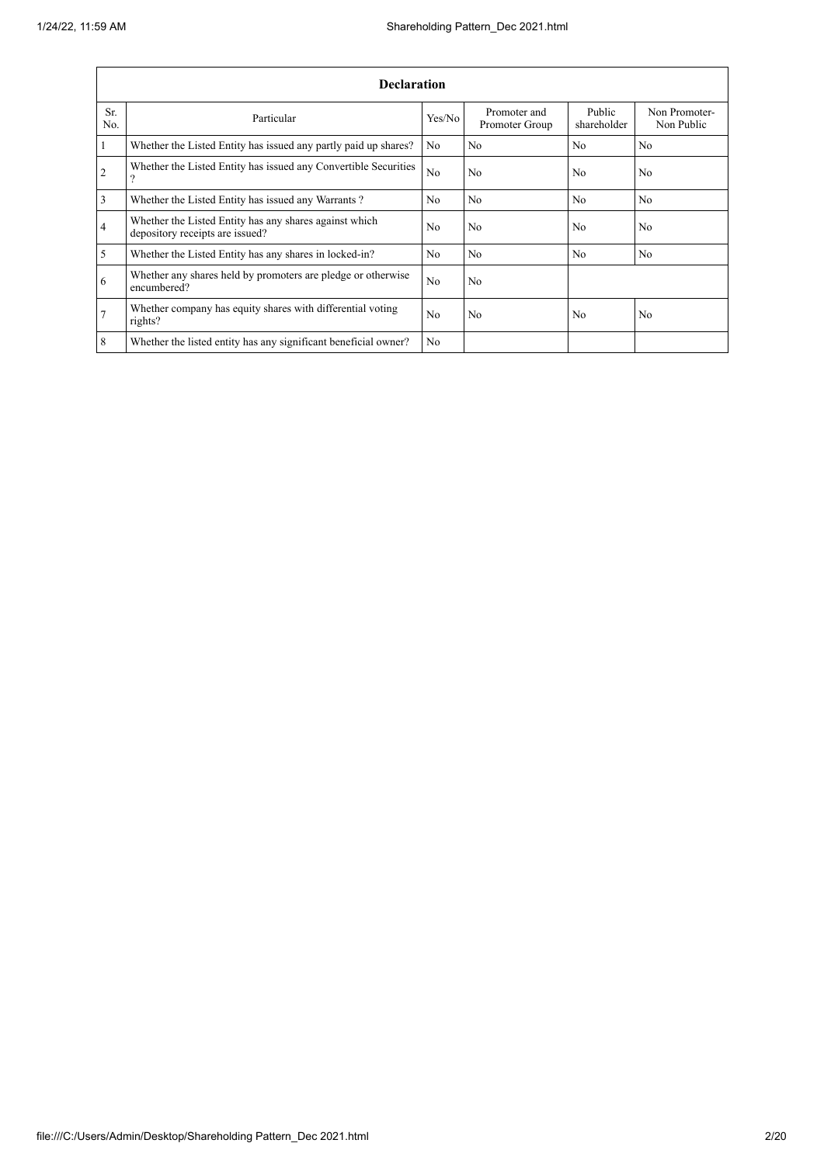|                | <b>Declaration</b>                                                                        |                |                                |                       |                             |
|----------------|-------------------------------------------------------------------------------------------|----------------|--------------------------------|-----------------------|-----------------------------|
| Sr.<br>No.     | Particular                                                                                | Yes/No         | Promoter and<br>Promoter Group | Public<br>shareholder | Non Promoter-<br>Non Public |
| $\mathbf{1}$   | Whether the Listed Entity has issued any partly paid up shares?                           | N <sub>o</sub> | N <sub>0</sub>                 | N <sub>0</sub>        | N <sub>0</sub>              |
| $\overline{2}$ | Whether the Listed Entity has issued any Convertible Securities<br>$\Omega$               | N <sub>o</sub> | No                             | N <sub>o</sub>        | N <sub>o</sub>              |
| $\overline{3}$ | Whether the Listed Entity has issued any Warrants?                                        | N <sub>o</sub> | N <sub>o</sub>                 | N <sub>o</sub>        | No.                         |
| $\overline{4}$ | Whether the Listed Entity has any shares against which<br>depository receipts are issued? | N <sub>o</sub> | No                             | N <sub>o</sub>        | No                          |
| 5              | Whether the Listed Entity has any shares in locked-in?                                    | N <sub>o</sub> | N <sub>o</sub>                 | N <sub>o</sub>        | N <sub>o</sub>              |
| 6              | Whether any shares held by promoters are pledge or otherwise<br>encumbered?               | N <sub>0</sub> | No                             |                       |                             |
| 7              | Whether company has equity shares with differential voting<br>rights?                     | N <sub>o</sub> | N <sub>o</sub>                 | N <sub>o</sub>        | N <sub>o</sub>              |
| 8              | Whether the listed entity has any significant beneficial owner?                           | N <sub>0</sub> |                                |                       |                             |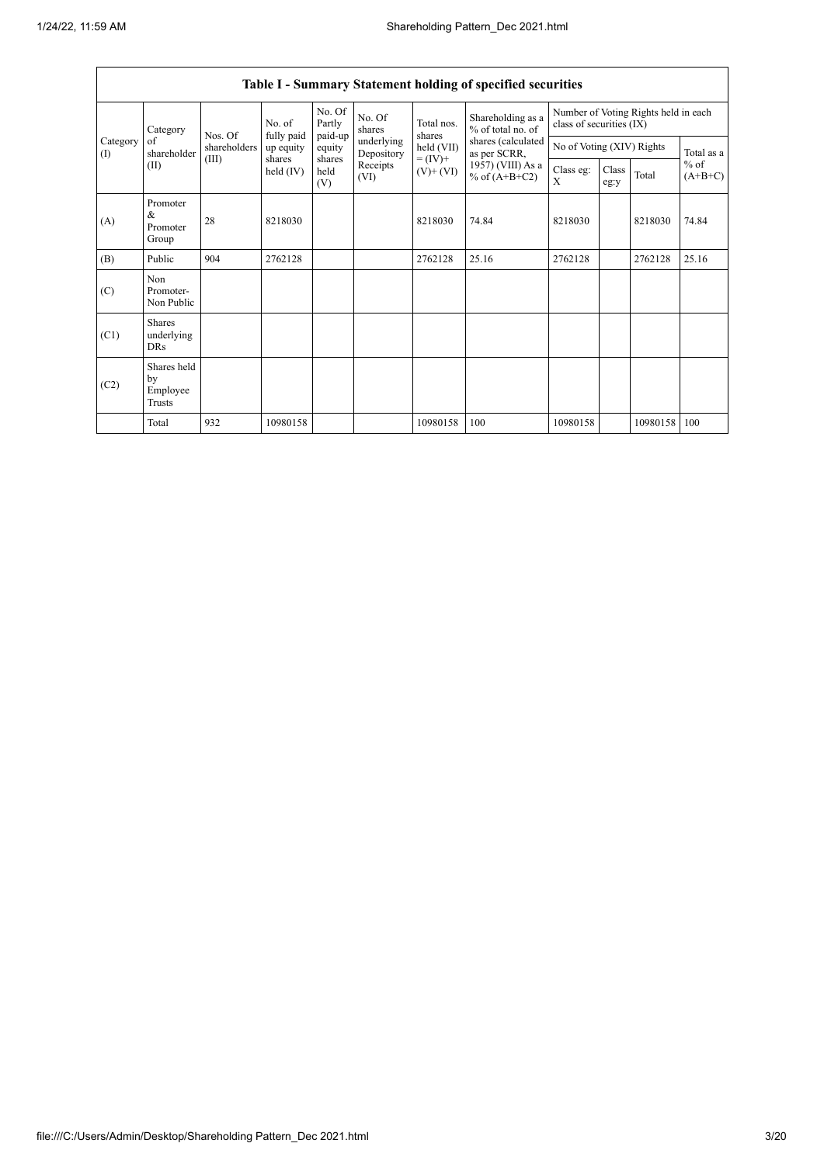$\Gamma$ 

|                          |                                           |              |                       |                             |                          |                              | Table I - Summary Statement holding of specified securities |                           |               |                                      |                     |
|--------------------------|-------------------------------------------|--------------|-----------------------|-----------------------------|--------------------------|------------------------------|-------------------------------------------------------------|---------------------------|---------------|--------------------------------------|---------------------|
|                          | Category                                  | Nos. Of      | No. of<br>fully paid  | No. Of<br>Partly<br>paid-up | No. Of<br>shares         | Total nos.<br>shares         | Shareholding as a<br>% of total no. of                      | class of securities (IX)  |               | Number of Voting Rights held in each |                     |
| Category<br>$($ $\Gamma$ | of<br>shareholder                         | shareholders | up equity             | equity                      | underlying<br>Depository | held (VII)                   | shares (calculated<br>as per SCRR,                          | No of Voting (XIV) Rights |               |                                      | Total as a          |
|                          | (II)                                      | (III)        | shares<br>held $(IV)$ | shares<br>held<br>(V)       | Receipts<br>(VI)         | $= (IV) +$<br>$(V)$ + $(VI)$ | 1957) (VIII) As a<br>% of $(A+B+C2)$                        | Class eg:<br>X            | Class<br>eg:y | Total                                | $%$ of<br>$(A+B+C)$ |
| (A)                      | Promoter<br>&<br>Promoter<br>Group        | 28           | 8218030               |                             |                          | 8218030                      | 74.84                                                       | 8218030                   |               | 8218030                              | 74.84               |
| (B)                      | Public                                    | 904          | 2762128               |                             |                          | 2762128                      | 25.16                                                       | 2762128                   |               | 2762128                              | 25.16               |
| (C)                      | Non<br>Promoter-<br>Non Public            |              |                       |                             |                          |                              |                                                             |                           |               |                                      |                     |
| (C1)                     | <b>Shares</b><br>underlying<br><b>DRs</b> |              |                       |                             |                          |                              |                                                             |                           |               |                                      |                     |
| (C2)                     | Shares held<br>by<br>Employee<br>Trusts   |              |                       |                             |                          |                              |                                                             |                           |               |                                      |                     |
|                          | Total                                     | 932          | 10980158              |                             |                          | 10980158                     | 100                                                         | 10980158                  |               | 10980158                             | 100                 |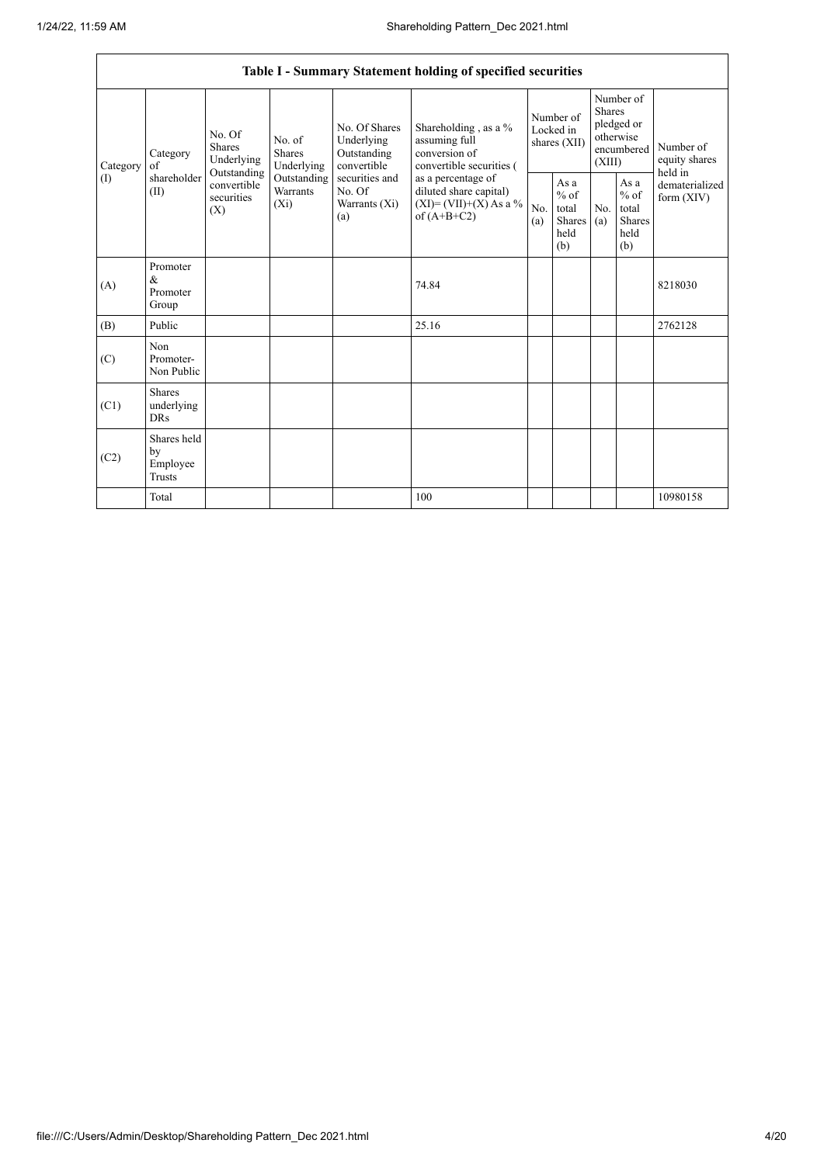|              |                                                |                                                      |                                       |                                                           | Table I - Summary Statement holding of specified securities                                |            |                                                  |                         |                                                         |                                       |
|--------------|------------------------------------------------|------------------------------------------------------|---------------------------------------|-----------------------------------------------------------|--------------------------------------------------------------------------------------------|------------|--------------------------------------------------|-------------------------|---------------------------------------------------------|---------------------------------------|
| Category     | Category<br>of                                 | No. Of<br><b>Shares</b><br>Underlying<br>Outstanding | No. of<br><b>Shares</b><br>Underlying | No. Of Shares<br>Underlying<br>Outstanding<br>convertible | Shareholding, as a %<br>assuming full<br>conversion of<br>convertible securities (         |            | Number of<br>Locked in<br>shares (XII)           | <b>Shares</b><br>(XIII) | Number of<br>pledged or<br>otherwise<br>encumbered      | Number of<br>equity shares<br>held in |
| $($ $\Gamma$ | shareholder<br>(II)                            | convertible<br>securities<br>(X)                     | Outstanding<br>Warrants<br>$(X_i)$    | securities and<br>No. Of<br>Warrants $(X_i)$<br>(a)       | as a percentage of<br>diluted share capital)<br>$(XI) = (VII)+(X) As a %$<br>of $(A+B+C2)$ | No.<br>(a) | As a<br>$%$ of<br>total<br>Shares<br>held<br>(b) | No.<br>(a)              | As a<br>$%$ of<br>total<br><b>Shares</b><br>held<br>(b) | dematerialized<br>form $(XIV)$        |
| (A)          | Promoter<br>$\&$<br>Promoter<br>Group          |                                                      |                                       |                                                           | 74.84                                                                                      |            |                                                  |                         |                                                         | 8218030                               |
| (B)          | Public                                         |                                                      |                                       |                                                           | 25.16                                                                                      |            |                                                  |                         |                                                         | 2762128                               |
| (C)          | Non<br>Promoter-<br>Non Public                 |                                                      |                                       |                                                           |                                                                                            |            |                                                  |                         |                                                         |                                       |
| (C1)         | <b>Shares</b><br>underlying<br><b>DRs</b>      |                                                      |                                       |                                                           |                                                                                            |            |                                                  |                         |                                                         |                                       |
| (C2)         | Shares held<br>by<br>Employee<br><b>Trusts</b> |                                                      |                                       |                                                           |                                                                                            |            |                                                  |                         |                                                         |                                       |
|              | Total                                          |                                                      |                                       |                                                           | 100                                                                                        |            |                                                  |                         |                                                         | 10980158                              |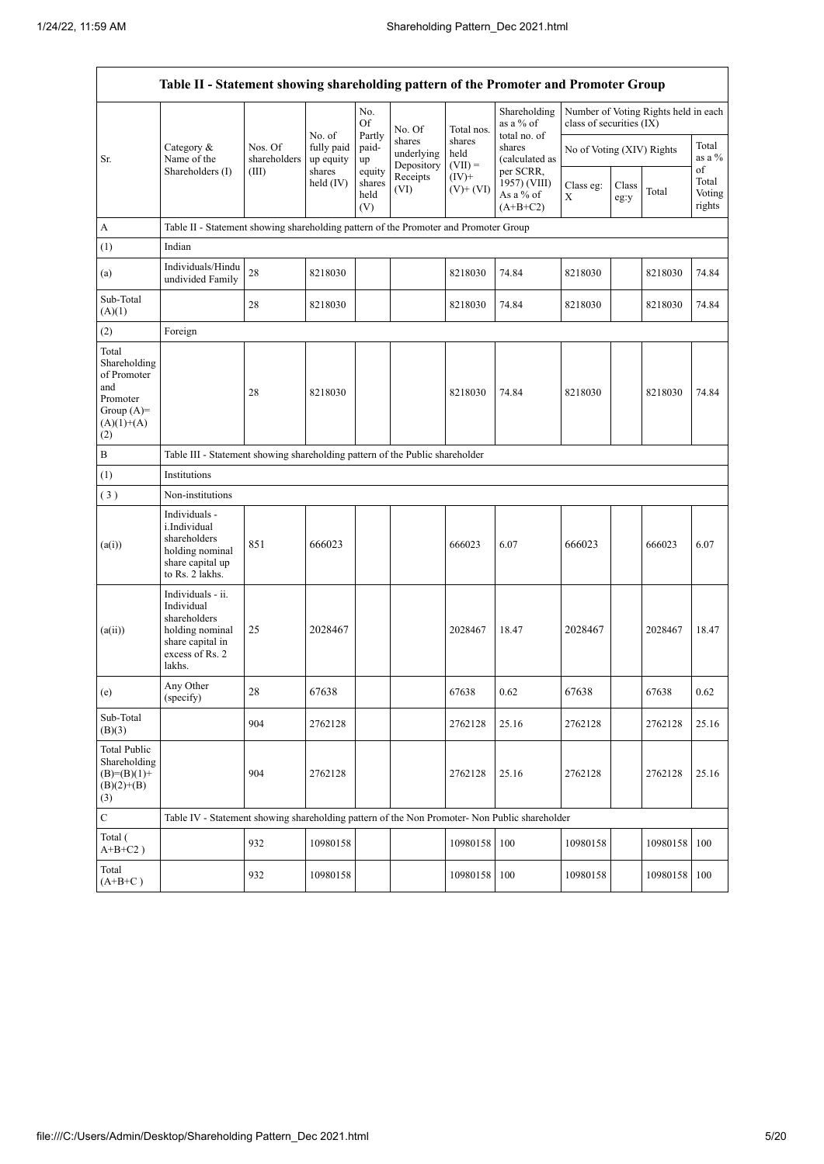$\mathbf{r}$ 

|                                                                                                | Table II - Statement showing shareholding pattern of the Promoter and Promoter Group                                |                         |                                   |                                 |                                    |                             |                                                      |                           |               |                                      |                                 |
|------------------------------------------------------------------------------------------------|---------------------------------------------------------------------------------------------------------------------|-------------------------|-----------------------------------|---------------------------------|------------------------------------|-----------------------------|------------------------------------------------------|---------------------------|---------------|--------------------------------------|---------------------------------|
|                                                                                                |                                                                                                                     |                         |                                   | No.<br>Of                       | No. Of                             | Total nos.                  | Shareholding<br>as a % of                            | class of securities (IX)  |               | Number of Voting Rights held in each |                                 |
| Sr.                                                                                            | Category $\&$<br>Name of the                                                                                        | Nos. Of<br>shareholders | No. of<br>fully paid<br>up equity | Partly<br>paid-<br>up           | shares<br>underlying<br>Depository | shares<br>held<br>$(VII) =$ | total no. of<br>shares<br>(calculated as             | No of Voting (XIV) Rights |               |                                      | Total<br>as a %                 |
|                                                                                                | Shareholders (I)                                                                                                    | (III)                   | shares<br>held $(IV)$             | equity<br>shares<br>held<br>(V) | Receipts<br>(VI)                   | $(IV)$ +<br>$(V)$ + $(VI)$  | per SCRR,<br>1957) (VIII)<br>As a % of<br>$(A+B+C2)$ | Class eg:<br>X            | Class<br>eg:y | Total                                | of<br>Total<br>Voting<br>rights |
| А                                                                                              | Table II - Statement showing shareholding pattern of the Promoter and Promoter Group                                |                         |                                   |                                 |                                    |                             |                                                      |                           |               |                                      |                                 |
| (1)                                                                                            | Indian                                                                                                              |                         |                                   |                                 |                                    |                             |                                                      |                           |               |                                      |                                 |
| (a)                                                                                            | Individuals/Hindu<br>undivided Family                                                                               | $28\,$                  | 8218030                           |                                 |                                    | 8218030                     | 74.84                                                | 8218030                   |               | 8218030                              | 74.84                           |
| Sub-Total<br>(A)(1)                                                                            |                                                                                                                     | 28                      | 8218030                           |                                 |                                    | 8218030                     | 74.84                                                | 8218030                   |               | 8218030                              | 74.84                           |
| (2)                                                                                            | Foreign                                                                                                             |                         |                                   |                                 |                                    |                             |                                                      |                           |               |                                      |                                 |
| Total<br>Shareholding<br>of Promoter<br>and<br>Promoter<br>Group $(A)=$<br>$(A)(1)+(A)$<br>(2) |                                                                                                                     | 28                      | 8218030                           |                                 |                                    | 8218030                     | 74.84                                                | 8218030                   |               | 8218030                              | 74.84                           |
| $\, {\bf B}$                                                                                   | Table III - Statement showing shareholding pattern of the Public shareholder                                        |                         |                                   |                                 |                                    |                             |                                                      |                           |               |                                      |                                 |
| (1)                                                                                            | Institutions                                                                                                        |                         |                                   |                                 |                                    |                             |                                                      |                           |               |                                      |                                 |
| (3)                                                                                            | Non-institutions                                                                                                    |                         |                                   |                                 |                                    |                             |                                                      |                           |               |                                      |                                 |
| (a(i))                                                                                         | Individuals -<br>i.Individual<br>shareholders<br>holding nominal<br>share capital up<br>to Rs. 2 lakhs.             | 851                     | 666023                            |                                 |                                    | 666023                      | 6.07                                                 | 666023                    |               | 666023                               | 6.07                            |
| (a(ii))                                                                                        | Individuals - ii.<br>Individual<br>shareholders<br>holding nominal<br>share capital in<br>excess of Rs. 2<br>lakhs. | 25                      | 2028467                           |                                 |                                    | 2028467                     | 18.47                                                | 2028467                   |               | 2028467                              | 18.47                           |
| (e)                                                                                            | Any Other<br>(specify)                                                                                              | 28                      | 67638                             |                                 |                                    | 67638                       | 0.62                                                 | 67638                     |               | 67638                                | 0.62                            |
| Sub-Total<br>(B)(3)                                                                            |                                                                                                                     | 904                     | 2762128                           |                                 |                                    | 2762128                     | 25.16                                                | 2762128                   |               | 2762128                              | 25.16                           |
| <b>Total Public</b><br>Shareholding<br>$(B)=(B)(1)+$<br>$(B)(2)+(B)$<br>(3)                    |                                                                                                                     | 904                     | 2762128                           |                                 |                                    | 2762128                     | 25.16                                                | 2762128                   |               | 2762128                              | 25.16                           |
| $\overline{C}$                                                                                 | Table IV - Statement showing shareholding pattern of the Non Promoter- Non Public shareholder                       |                         |                                   |                                 |                                    |                             |                                                      |                           |               |                                      |                                 |
| Total (<br>$A+B+C2$ )                                                                          |                                                                                                                     | 932                     | 10980158                          |                                 |                                    | 10980158                    | 100                                                  | 10980158                  |               | 10980158                             | 100                             |
| Total<br>$(A+B+C)$                                                                             |                                                                                                                     | 932                     | 10980158                          |                                 |                                    | 10980158                    | 100                                                  | 10980158                  |               | 10980158                             | 100                             |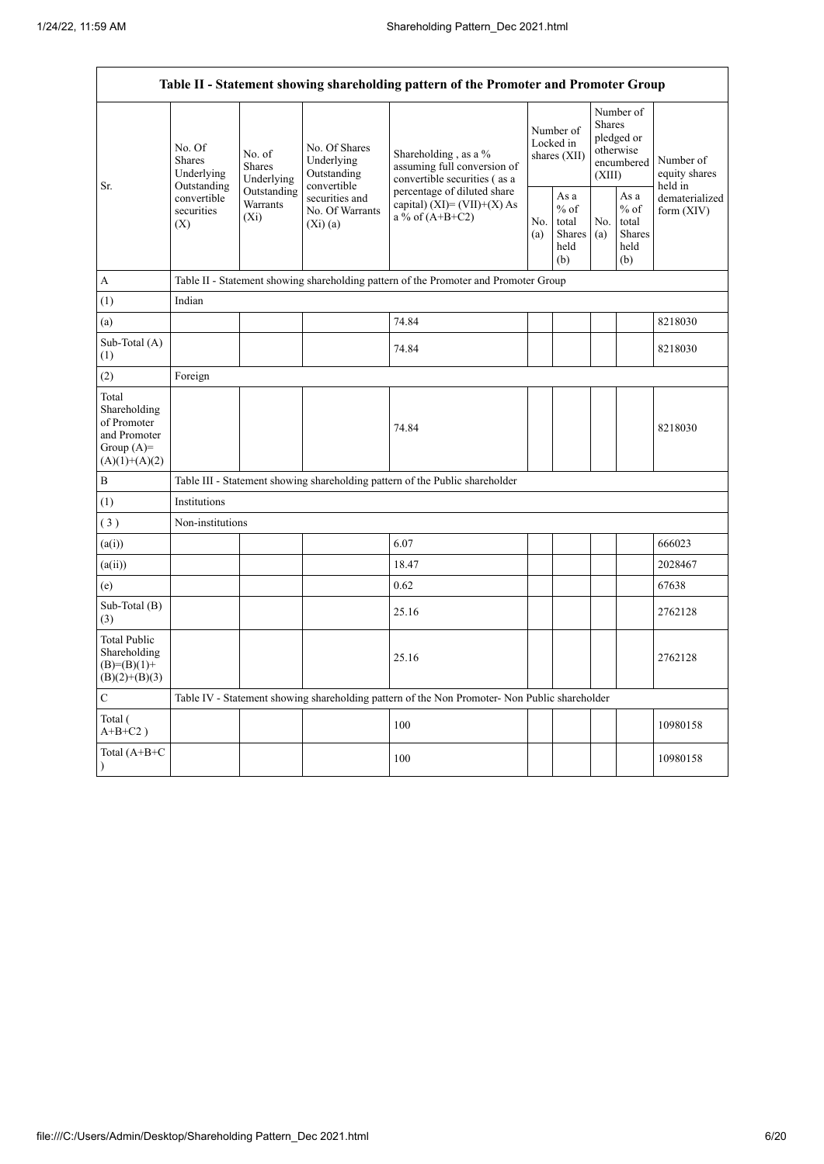$\mathbf{r}$ 

|                                                                                         |                                                 |                                       |                                                           | Table II - Statement showing shareholding pattern of the Promoter and Promoter Group          |            |                                                  |                  |                                                    |                                           |
|-----------------------------------------------------------------------------------------|-------------------------------------------------|---------------------------------------|-----------------------------------------------------------|-----------------------------------------------------------------------------------------------|------------|--------------------------------------------------|------------------|----------------------------------------------------|-------------------------------------------|
|                                                                                         | No. Of<br>Shares<br>Underlying                  | No. of<br><b>Shares</b><br>Underlying | No. Of Shares<br>Underlying<br>Outstanding<br>convertible | Shareholding, as a %<br>assuming full conversion of<br>convertible securities (as a           |            | Number of<br>Locked in<br>shares (XII)           | Shares<br>(XIII) | Number of<br>pledged or<br>otherwise<br>encumbered | Number of<br>equity shares                |
| Sr.                                                                                     | Outstanding<br>convertible<br>securities<br>(X) | Outstanding<br>Warrants<br>$(X_i)$    | securities and<br>No. Of Warrants<br>(Xi)(a)              | percentage of diluted share<br>capital) $(XI) = (VII)+(X) As$<br>a % of $(A+B+C2)$            | No.<br>(a) | As a<br>$%$ of<br>total<br>Shares<br>held<br>(b) | No.<br>(a)       | As a<br>$%$ of<br>total<br>Shares<br>held<br>(b)   | held in<br>dematerialized<br>form $(XIV)$ |
| A                                                                                       |                                                 |                                       |                                                           | Table II - Statement showing shareholding pattern of the Promoter and Promoter Group          |            |                                                  |                  |                                                    |                                           |
| (1)                                                                                     | Indian                                          |                                       |                                                           |                                                                                               |            |                                                  |                  |                                                    |                                           |
| (a)                                                                                     |                                                 |                                       |                                                           | 74.84                                                                                         |            |                                                  |                  |                                                    | 8218030                                   |
| Sub-Total (A)<br>(1)                                                                    |                                                 |                                       |                                                           | 74.84                                                                                         |            |                                                  |                  |                                                    | 8218030                                   |
| (2)                                                                                     | Foreign                                         |                                       |                                                           |                                                                                               |            |                                                  |                  |                                                    |                                           |
| Total<br>Shareholding<br>of Promoter<br>and Promoter<br>Group $(A)=$<br>$(A)(1)+(A)(2)$ |                                                 |                                       |                                                           | 74.84                                                                                         |            |                                                  |                  |                                                    | 8218030                                   |
| B                                                                                       |                                                 |                                       |                                                           | Table III - Statement showing shareholding pattern of the Public shareholder                  |            |                                                  |                  |                                                    |                                           |
| (1)                                                                                     | Institutions                                    |                                       |                                                           |                                                                                               |            |                                                  |                  |                                                    |                                           |
| (3)                                                                                     | Non-institutions                                |                                       |                                                           |                                                                                               |            |                                                  |                  |                                                    |                                           |
| (a(i))                                                                                  |                                                 |                                       |                                                           | 6.07                                                                                          |            |                                                  |                  |                                                    | 666023                                    |
| (a(ii))                                                                                 |                                                 |                                       |                                                           | 18.47                                                                                         |            |                                                  |                  |                                                    | 2028467                                   |
| (e)                                                                                     |                                                 |                                       |                                                           | 0.62                                                                                          |            |                                                  |                  |                                                    | 67638                                     |
| Sub-Total (B)<br>(3)                                                                    |                                                 |                                       |                                                           | 25.16                                                                                         |            |                                                  |                  |                                                    | 2762128                                   |
| <b>Total Public</b><br>Shareholding<br>$(B)= (B)(1) +$<br>$(B)(2)+(B)(3)$               |                                                 |                                       |                                                           | 25.16                                                                                         |            |                                                  |                  |                                                    | 2762128                                   |
| C                                                                                       |                                                 |                                       |                                                           | Table IV - Statement showing shareholding pattern of the Non Promoter- Non Public shareholder |            |                                                  |                  |                                                    |                                           |
| Total (<br>$A+B+C2$ )                                                                   |                                                 |                                       |                                                           | 100                                                                                           |            |                                                  |                  |                                                    | 10980158                                  |
| Total (A+B+C<br>$\mathcal{E}$                                                           |                                                 |                                       |                                                           | 100                                                                                           |            |                                                  |                  |                                                    | 10980158                                  |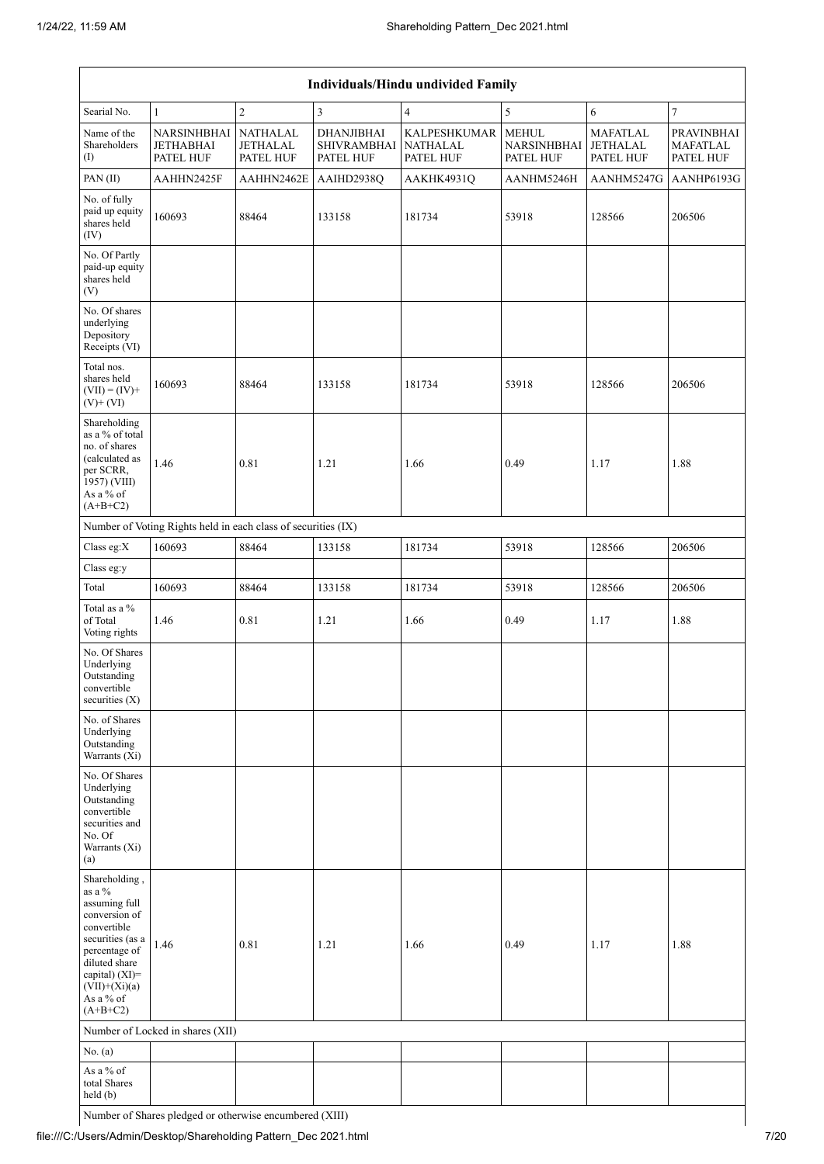| Individuals/Hindu undivided Family                                                                                                                                                             |                                                               |                                          |                                               |                                              |                                                 |                                                 |                                                   |  |  |  |  |  |
|------------------------------------------------------------------------------------------------------------------------------------------------------------------------------------------------|---------------------------------------------------------------|------------------------------------------|-----------------------------------------------|----------------------------------------------|-------------------------------------------------|-------------------------------------------------|---------------------------------------------------|--|--|--|--|--|
| Searial No.                                                                                                                                                                                    | $\mathbf{1}$                                                  | $\overline{c}$                           | 3                                             | $\overline{4}$                               | 5                                               | 6                                               | $\tau$                                            |  |  |  |  |  |
| Name of the<br>Shareholders<br>(I)                                                                                                                                                             | NARSINHBHAI<br><b>JETHABHAI</b><br>PATEL HUF                  | <b>NATHALAL</b><br>JETHALAL<br>PATEL HUF | DHANJIBHAI<br><b>SHIVRAMBHAI</b><br>PATEL HUF | KALPESHKUMAR<br><b>NATHALAL</b><br>PATEL HUF | <b>MEHUL</b><br><b>NARSINHBHAI</b><br>PATEL HUF | <b>MAFATLAL</b><br><b>JETHALAL</b><br>PATEL HUF | <b>PRAVINBHAI</b><br><b>MAFATLAL</b><br>PATEL HUF |  |  |  |  |  |
| PAN(II)                                                                                                                                                                                        | AAHHN2425F                                                    | AAHHN2462E                               | AAIHD2938Q                                    | AAKHK4931Q                                   | AANHM5246H                                      | AANHM5247G                                      | AANHP6193G                                        |  |  |  |  |  |
| No. of fully<br>paid up equity<br>shares held<br>(IV)                                                                                                                                          | 160693                                                        | 88464                                    | 133158                                        | 181734                                       | 53918                                           | 128566                                          | 206506                                            |  |  |  |  |  |
| No. Of Partly<br>paid-up equity<br>shares held<br>(V)                                                                                                                                          |                                                               |                                          |                                               |                                              |                                                 |                                                 |                                                   |  |  |  |  |  |
| No. Of shares<br>underlying<br>Depository<br>Receipts (VI)                                                                                                                                     |                                                               |                                          |                                               |                                              |                                                 |                                                 |                                                   |  |  |  |  |  |
| Total nos.<br>shares held<br>$(VII) = (IV) +$<br>$(V)$ + $(VI)$                                                                                                                                | 160693                                                        | 88464                                    | 133158                                        | 181734                                       | 53918                                           | 128566                                          | 206506                                            |  |  |  |  |  |
| Shareholding<br>as a % of total<br>no. of shares<br>(calculated as<br>per SCRR,<br>1957) (VIII)<br>As a % of<br>$(A+B+C2)$                                                                     | 1.46                                                          | 0.81                                     | 1.21                                          | 1.66                                         | 0.49                                            | 1.17                                            | 1.88                                              |  |  |  |  |  |
|                                                                                                                                                                                                | Number of Voting Rights held in each class of securities (IX) |                                          |                                               |                                              |                                                 |                                                 |                                                   |  |  |  |  |  |
| Class eg: $X$                                                                                                                                                                                  | 160693                                                        | 88464                                    | 133158                                        | 181734                                       | 53918                                           | 128566                                          | 206506                                            |  |  |  |  |  |
| Class eg:y                                                                                                                                                                                     |                                                               |                                          |                                               |                                              |                                                 |                                                 |                                                   |  |  |  |  |  |
| Total                                                                                                                                                                                          | 160693                                                        | 88464                                    | 133158                                        | 181734                                       | 53918                                           | 128566                                          | 206506                                            |  |  |  |  |  |
| Total as a %<br>of Total<br>Voting rights                                                                                                                                                      | 1.46                                                          | 0.81                                     | 1.21                                          | 1.66                                         | 0.49                                            | 1.17                                            | 1.88                                              |  |  |  |  |  |
| No. Of Shares<br>Underlying<br>Outstanding<br>convertible<br>securities $(X)$                                                                                                                  |                                                               |                                          |                                               |                                              |                                                 |                                                 |                                                   |  |  |  |  |  |
| No. of Shares<br>Underlying<br>Outstanding<br>Warrants (Xi)                                                                                                                                    |                                                               |                                          |                                               |                                              |                                                 |                                                 |                                                   |  |  |  |  |  |
| No. Of Shares<br>Underlying<br>Outstanding<br>convertible<br>securities and<br>No. Of<br>Warrants (Xi)<br>(a)                                                                                  |                                                               |                                          |                                               |                                              |                                                 |                                                 |                                                   |  |  |  |  |  |
| Shareholding,<br>as a %<br>assuming full<br>conversion of<br>convertible<br>securities (as a<br>percentage of<br>diluted share<br>capital) (XI)=<br>$(VII)+(Xi)(a)$<br>As a % of<br>$(A+B+C2)$ | 1.46                                                          | 0.81                                     | 1.21                                          | 1.66                                         | 0.49                                            | 1.17                                            | 1.88                                              |  |  |  |  |  |
|                                                                                                                                                                                                | Number of Locked in shares (XII)                              |                                          |                                               |                                              |                                                 |                                                 |                                                   |  |  |  |  |  |
| No. $(a)$                                                                                                                                                                                      |                                                               |                                          |                                               |                                              |                                                 |                                                 |                                                   |  |  |  |  |  |
| As a % of<br>total Shares<br>held (b)                                                                                                                                                          |                                                               |                                          |                                               |                                              |                                                 |                                                 |                                                   |  |  |  |  |  |

Number of Shares pledged or otherwise encumbered (XIII)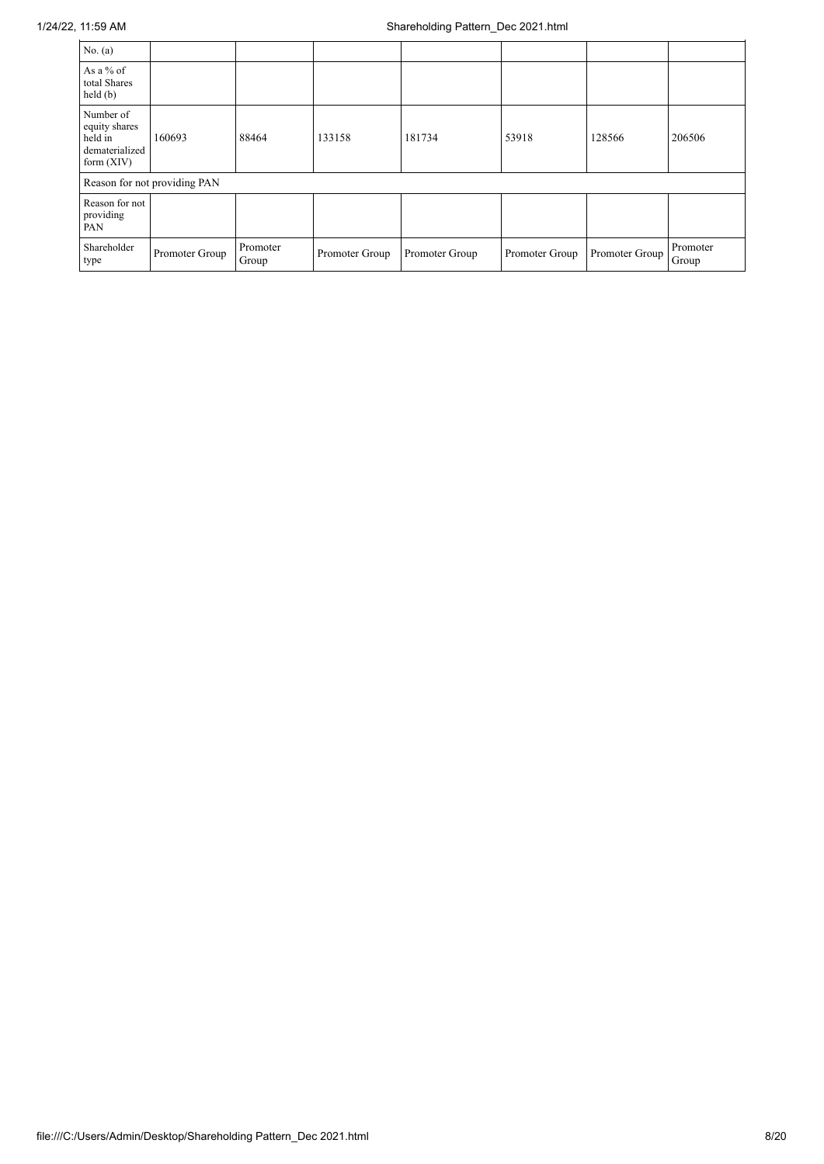| No. $(a)$                                                               |                              |                   |                |                |                |                |                   |
|-------------------------------------------------------------------------|------------------------------|-------------------|----------------|----------------|----------------|----------------|-------------------|
| As a $%$ of<br>total Shares<br>held(b)                                  |                              |                   |                |                |                |                |                   |
| Number of<br>equity shares<br>held in<br>dematerialized<br>form $(XIV)$ | 160693                       | 88464             | 133158         | 181734         | 53918          | 128566         | 206506            |
|                                                                         | Reason for not providing PAN |                   |                |                |                |                |                   |
| Reason for not<br>providing<br>PAN                                      |                              |                   |                |                |                |                |                   |
| Shareholder<br>type                                                     | Promoter Group               | Promoter<br>Group | Promoter Group | Promoter Group | Promoter Group | Promoter Group | Promoter<br>Group |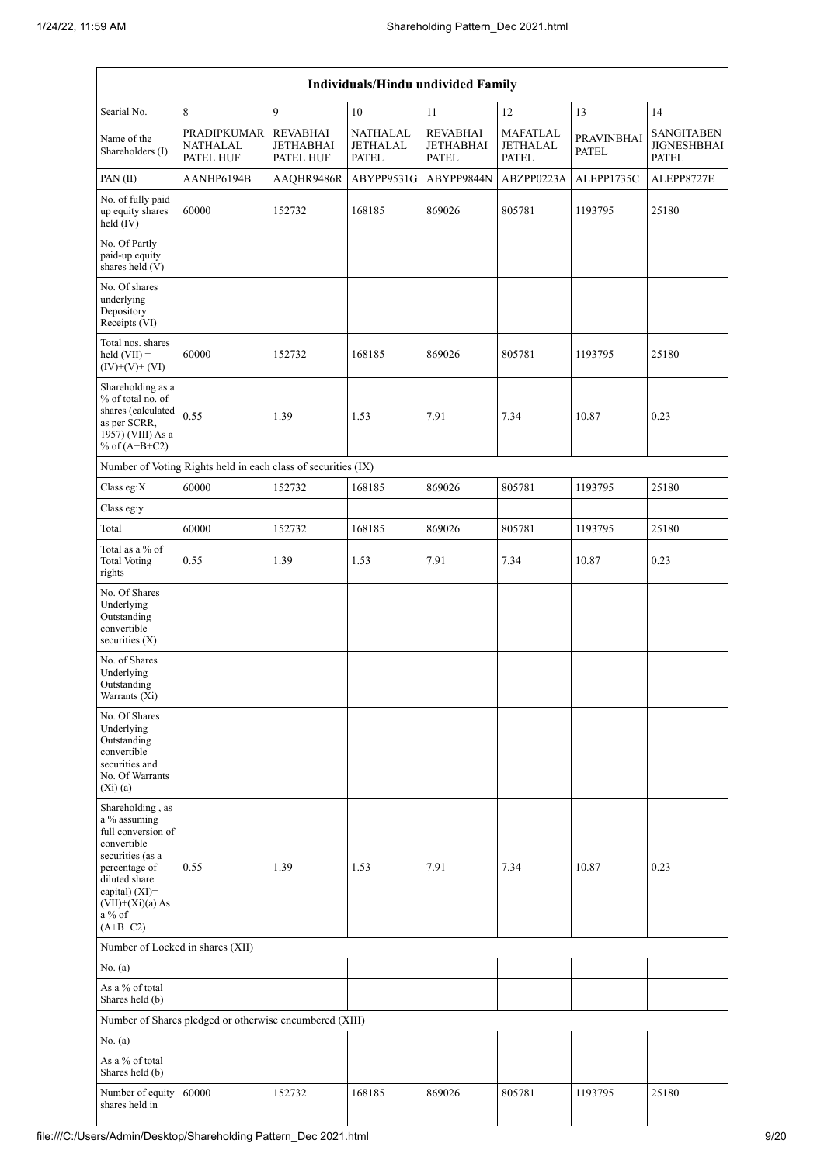| Individuals/Hindu undivided Family                                                                                                                                                          |                                                               |                                                         |                                                    |                                                     |                                      |                                   |                                                         |  |  |  |  |  |
|---------------------------------------------------------------------------------------------------------------------------------------------------------------------------------------------|---------------------------------------------------------------|---------------------------------------------------------|----------------------------------------------------|-----------------------------------------------------|--------------------------------------|-----------------------------------|---------------------------------------------------------|--|--|--|--|--|
| Searial No.                                                                                                                                                                                 | 8                                                             | 9                                                       | 10                                                 | 11                                                  | 12                                   | 13                                | 14                                                      |  |  |  |  |  |
| Name of the<br>Shareholders (I)                                                                                                                                                             | <b>PRADIPKUMAR</b><br><b>NATHALAL</b><br>PATEL HUF            | <b>REVABHAI</b><br><b>JETHABHAI</b><br><b>PATEL HUF</b> | <b>NATHALAL</b><br><b>JETHALAL</b><br><b>PATEL</b> | <b>REVABHAI</b><br><b>JETHABHAI</b><br><b>PATEL</b> | MAFATLAL<br>JETHALAL<br><b>PATEL</b> | <b>PRAVINBHAI</b><br><b>PATEL</b> | <b>SANGITABEN</b><br><b>JIGNESHBHAI</b><br><b>PATEL</b> |  |  |  |  |  |
| PAN(II)                                                                                                                                                                                     | AANHP6194B                                                    | AAQHR9486R                                              | ABYPP9531G                                         | ABYPP9844N                                          | ABZPP0223A                           | ALEPP1735C                        | ALEPP8727E                                              |  |  |  |  |  |
| No. of fully paid<br>up equity shares<br>held (IV)                                                                                                                                          | 60000                                                         | 152732                                                  | 168185                                             | 869026                                              | 805781                               | 1193795                           | 25180                                                   |  |  |  |  |  |
| No. Of Partly<br>paid-up equity<br>shares held (V)                                                                                                                                          |                                                               |                                                         |                                                    |                                                     |                                      |                                   |                                                         |  |  |  |  |  |
| No. Of shares<br>underlying<br>Depository<br>Receipts (VI)                                                                                                                                  |                                                               |                                                         |                                                    |                                                     |                                      |                                   |                                                         |  |  |  |  |  |
| Total nos. shares<br>held $(VII) =$<br>$(IV)+(V)+(VI)$                                                                                                                                      | 60000                                                         | 152732                                                  | 168185                                             | 869026                                              | 805781                               | 1193795                           | 25180                                                   |  |  |  |  |  |
| Shareholding as a<br>% of total no. of<br>shares (calculated<br>as per SCRR,<br>1957) (VIII) As a<br>% of $(A+B+C2)$                                                                        | 0.55                                                          | 1.39                                                    | 1.53                                               | 7.91                                                | 7.34                                 | 10.87                             | 0.23                                                    |  |  |  |  |  |
|                                                                                                                                                                                             | Number of Voting Rights held in each class of securities (IX) |                                                         |                                                    |                                                     |                                      |                                   |                                                         |  |  |  |  |  |
| Class eg:X                                                                                                                                                                                  | 60000                                                         | 152732                                                  | 168185                                             | 869026                                              | 805781                               | 1193795                           | 25180                                                   |  |  |  |  |  |
| Class eg:y                                                                                                                                                                                  |                                                               |                                                         |                                                    |                                                     |                                      |                                   |                                                         |  |  |  |  |  |
| Total                                                                                                                                                                                       | 60000                                                         | 152732                                                  | 168185                                             | 869026                                              | 805781                               | 1193795                           | 25180                                                   |  |  |  |  |  |
| Total as a % of<br><b>Total Voting</b><br>rights                                                                                                                                            | 0.55                                                          | 1.39                                                    | 1.53                                               | 7.91                                                | 7.34                                 | 10.87                             | 0.23                                                    |  |  |  |  |  |
| No. Of Shares<br>Underlying<br>Outstanding<br>convertible<br>securities $(X)$                                                                                                               |                                                               |                                                         |                                                    |                                                     |                                      |                                   |                                                         |  |  |  |  |  |
| No. of Shares<br>Underlying<br>Outstanding<br>Warrants (Xi)                                                                                                                                 |                                                               |                                                         |                                                    |                                                     |                                      |                                   |                                                         |  |  |  |  |  |
| No. Of Shares<br>Underlying<br>Outstanding<br>convertible<br>securities and<br>No. Of Warrants<br>$(Xi)$ $(a)$                                                                              |                                                               |                                                         |                                                    |                                                     |                                      |                                   |                                                         |  |  |  |  |  |
| Shareholding, as<br>a % assuming<br>full conversion of<br>convertible<br>securities (as a<br>percentage of<br>diluted share<br>capital) (XI)=<br>$(VII)+(Xi)(a) As$<br>a % of<br>$(A+B+C2)$ | 0.55                                                          | 1.39                                                    | 1.53                                               | 7.91                                                | 7.34                                 | 10.87                             | 0.23                                                    |  |  |  |  |  |
| Number of Locked in shares (XII)                                                                                                                                                            |                                                               |                                                         |                                                    |                                                     |                                      |                                   |                                                         |  |  |  |  |  |
| No. $(a)$                                                                                                                                                                                   |                                                               |                                                         |                                                    |                                                     |                                      |                                   |                                                         |  |  |  |  |  |
| As a % of total<br>Shares held (b)                                                                                                                                                          |                                                               |                                                         |                                                    |                                                     |                                      |                                   |                                                         |  |  |  |  |  |
|                                                                                                                                                                                             | Number of Shares pledged or otherwise encumbered (XIII)       |                                                         |                                                    |                                                     |                                      |                                   |                                                         |  |  |  |  |  |
| No. (a)                                                                                                                                                                                     |                                                               |                                                         |                                                    |                                                     |                                      |                                   |                                                         |  |  |  |  |  |
| As a % of total<br>Shares held (b)                                                                                                                                                          |                                                               |                                                         |                                                    |                                                     |                                      |                                   |                                                         |  |  |  |  |  |
| Number of equity<br>shares held in                                                                                                                                                          | 60000                                                         | 152732                                                  | 168185                                             | 869026                                              | 805781                               | 1193795                           | 25180                                                   |  |  |  |  |  |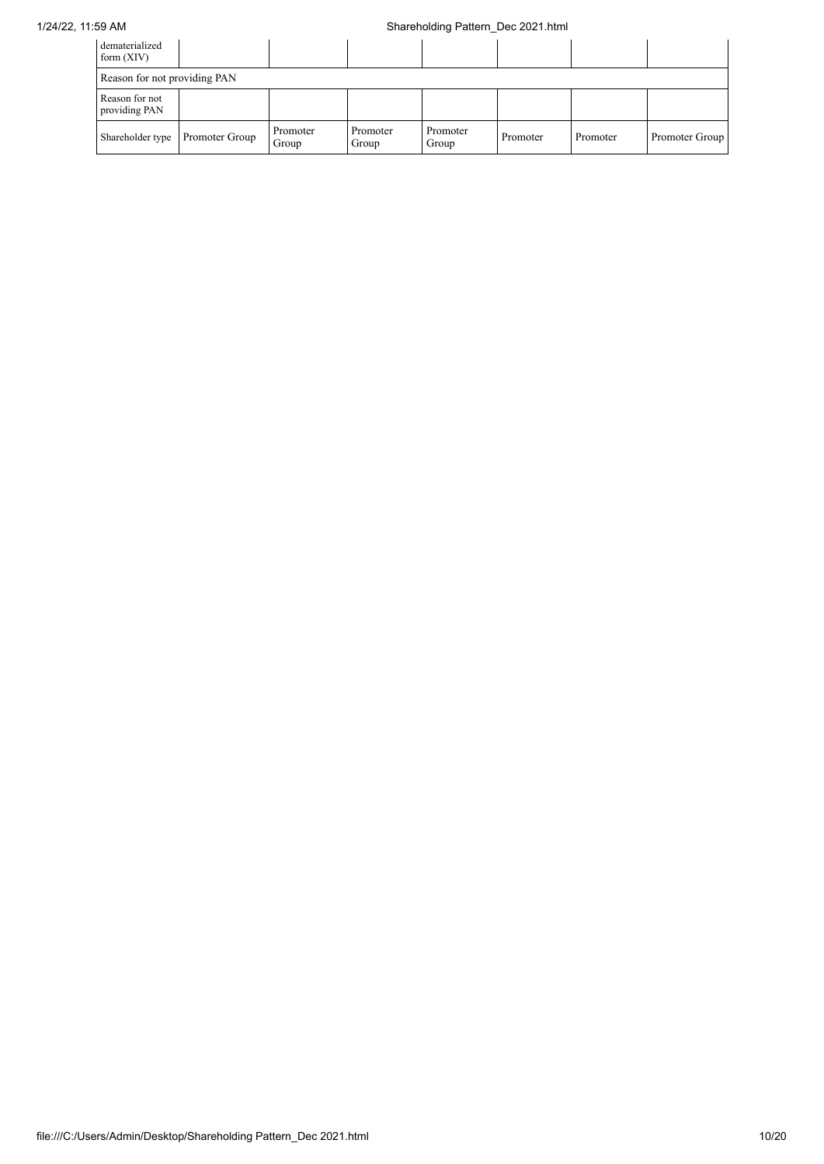## 1/24/22, 11:59 AM Shareholding Pattern\_Dec 2021.html

| dematerialized<br>form $(XIV)$  |                |                   |                   |                   |          |          |                |
|---------------------------------|----------------|-------------------|-------------------|-------------------|----------|----------|----------------|
| Reason for not providing PAN    |                |                   |                   |                   |          |          |                |
| Reason for not<br>providing PAN |                |                   |                   |                   |          |          |                |
| Shareholder type                | Promoter Group | Promoter<br>Group | Promoter<br>Group | Promoter<br>Group | Promoter | Promoter | Promoter Group |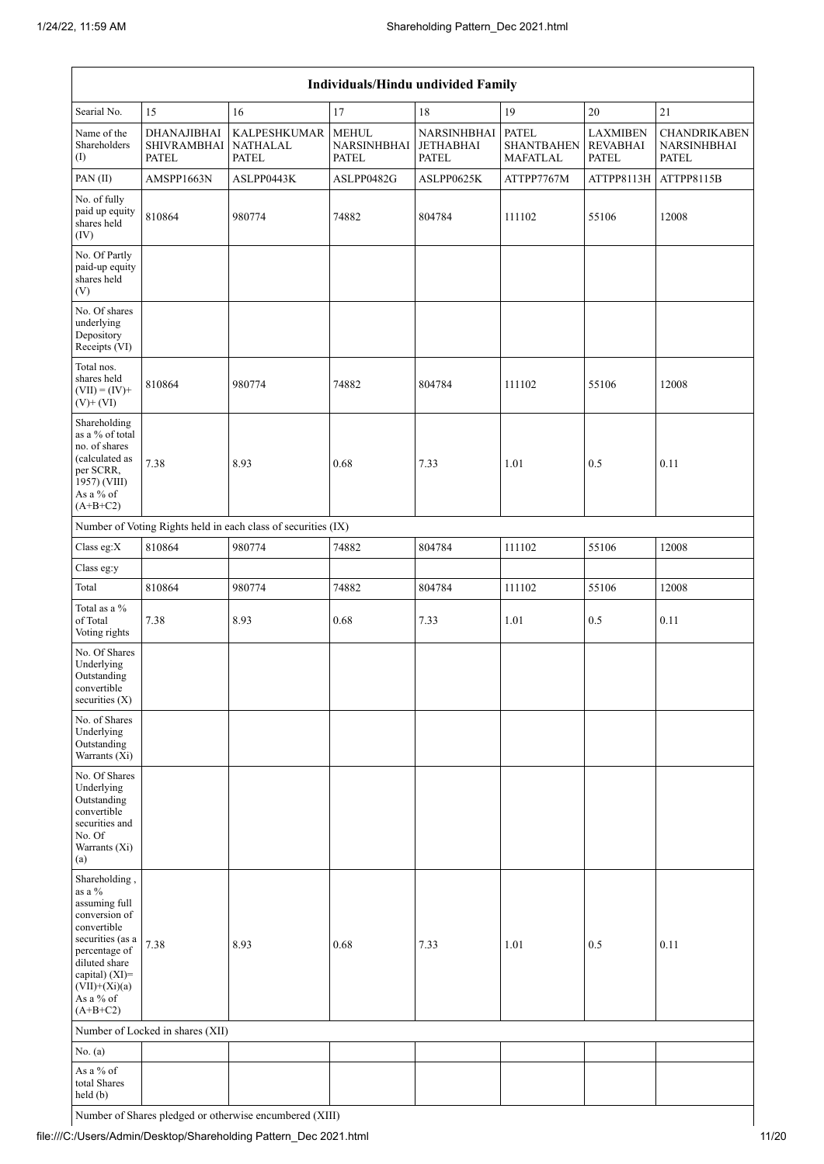| Individuals/Hindu undivided Family                                                                                                                                                                |                                                          |                                                               |                                                    |                                                         |                                      |                                                    |                                                           |  |  |  |  |  |
|---------------------------------------------------------------------------------------------------------------------------------------------------------------------------------------------------|----------------------------------------------------------|---------------------------------------------------------------|----------------------------------------------------|---------------------------------------------------------|--------------------------------------|----------------------------------------------------|-----------------------------------------------------------|--|--|--|--|--|
| Searial No.                                                                                                                                                                                       | 15                                                       | 16                                                            | 17                                                 | 18                                                      | 19                                   | $20\,$                                             | 21                                                        |  |  |  |  |  |
| Name of the<br>Shareholders<br>(I)                                                                                                                                                                | <b>DHANAJIBHAI</b><br><b>SHIVRAMBHAI</b><br><b>PATEL</b> | <b>KALPESHKUMAR</b><br><b>NATHALAL</b><br>PATEL               | <b>MEHUL</b><br><b>NARSINHBHAI</b><br><b>PATEL</b> | NARSINHBHAI   PATEL<br><b>JETHABHAI</b><br><b>PATEL</b> | <b>SHANTBAHEN</b><br><b>MAFATLAL</b> | <b>LAXMIBEN</b><br><b>REVABHAI</b><br><b>PATEL</b> | <b>CHANDRIKABEN</b><br><b>NARSINHBHAI</b><br><b>PATEL</b> |  |  |  |  |  |
| PAN(II)                                                                                                                                                                                           | AMSPP1663N                                               | ASLPP0443K                                                    | ASLPP0482G                                         | ASLPP0625K                                              | ATTPP7767M                           | ATTPP8113H                                         | ATTPP8115B                                                |  |  |  |  |  |
| No. of fully<br>paid up equity<br>shares held<br>(IV)                                                                                                                                             | 810864                                                   | 980774                                                        | 74882                                              | 804784                                                  | 111102                               | 55106                                              | 12008                                                     |  |  |  |  |  |
| No. Of Partly<br>paid-up equity<br>shares held<br>(V)                                                                                                                                             |                                                          |                                                               |                                                    |                                                         |                                      |                                                    |                                                           |  |  |  |  |  |
| No. Of shares<br>underlying<br>Depository<br>Receipts (VI)                                                                                                                                        |                                                          |                                                               |                                                    |                                                         |                                      |                                                    |                                                           |  |  |  |  |  |
| Total nos.<br>shares held<br>$(VII) = (IV) +$<br>$(V)$ + $(VI)$                                                                                                                                   | 810864                                                   | 980774                                                        | 74882                                              | 804784                                                  | 111102                               | 55106                                              | 12008                                                     |  |  |  |  |  |
| Shareholding<br>as a % of total<br>no. of shares<br>(calculated as<br>per SCRR,<br>1957) (VIII)<br>As a % of<br>$(A+B+C2)$                                                                        | 7.38                                                     | 8.93                                                          | 0.68                                               | 7.33                                                    | 1.01                                 | 0.5                                                | 0.11                                                      |  |  |  |  |  |
|                                                                                                                                                                                                   |                                                          | Number of Voting Rights held in each class of securities (IX) |                                                    |                                                         |                                      |                                                    |                                                           |  |  |  |  |  |
| Class eg:X                                                                                                                                                                                        | 810864                                                   | 980774                                                        | 74882                                              | 804784                                                  | 111102                               | 55106                                              | 12008                                                     |  |  |  |  |  |
| Class eg:y                                                                                                                                                                                        |                                                          |                                                               |                                                    |                                                         |                                      |                                                    |                                                           |  |  |  |  |  |
| Total                                                                                                                                                                                             | 810864                                                   | 980774                                                        | 74882                                              | 804784                                                  | 111102                               | 55106                                              | 12008                                                     |  |  |  |  |  |
| Total as a $\%$<br>of Total<br>Voting rights                                                                                                                                                      | 7.38                                                     | 8.93                                                          | 0.68                                               | 7.33                                                    | 1.01                                 | 0.5                                                | 0.11                                                      |  |  |  |  |  |
| No. Of Shares<br>Underlying<br>Outstanding<br>convertible<br>securities (X)                                                                                                                       |                                                          |                                                               |                                                    |                                                         |                                      |                                                    |                                                           |  |  |  |  |  |
| No. of Shares<br>Underlying<br>Outstanding<br>Warrants (Xi)                                                                                                                                       |                                                          |                                                               |                                                    |                                                         |                                      |                                                    |                                                           |  |  |  |  |  |
| No. Of Shares<br>Underlying<br>Outstanding<br>convertible<br>securities and<br>No. Of<br>Warrants (Xi)<br>(a)                                                                                     |                                                          |                                                               |                                                    |                                                         |                                      |                                                    |                                                           |  |  |  |  |  |
| Shareholding,<br>as a $\%$<br>assuming full<br>conversion of<br>convertible<br>securities (as a<br>percentage of<br>diluted share<br>capital) (XI)=<br>$(VII)+(Xi)(a)$<br>As a % of<br>$(A+B+C2)$ | 7.38                                                     | 8.93                                                          | 0.68                                               | 7.33                                                    | 1.01                                 | 0.5                                                | 0.11                                                      |  |  |  |  |  |
|                                                                                                                                                                                                   | Number of Locked in shares (XII)                         |                                                               |                                                    |                                                         |                                      |                                                    |                                                           |  |  |  |  |  |
| No. (a)                                                                                                                                                                                           |                                                          |                                                               |                                                    |                                                         |                                      |                                                    |                                                           |  |  |  |  |  |
| As a % of<br>total Shares<br>held (b)                                                                                                                                                             |                                                          |                                                               |                                                    |                                                         |                                      |                                                    |                                                           |  |  |  |  |  |

Number of Shares pledged or otherwise encumbered (XIII)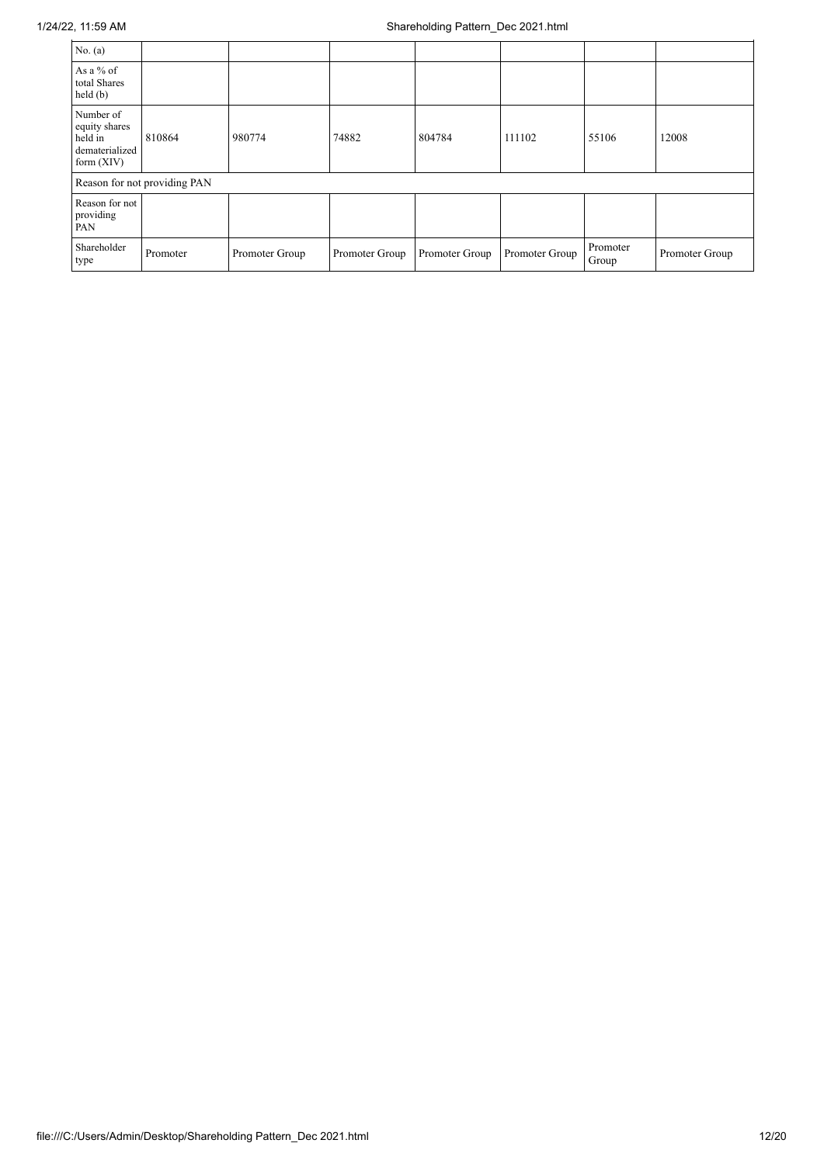| No. (a)                                                                 |                              |                |                |                |                |                   |                |
|-------------------------------------------------------------------------|------------------------------|----------------|----------------|----------------|----------------|-------------------|----------------|
| As a % of<br>total Shares<br>held(b)                                    |                              |                |                |                |                |                   |                |
| Number of<br>equity shares<br>held in<br>dematerialized<br>form $(XIV)$ | 810864                       | 980774         | 74882          | 804784         | 111102         | 55106             | 12008          |
|                                                                         | Reason for not providing PAN |                |                |                |                |                   |                |
| Reason for not<br>providing<br>PAN                                      |                              |                |                |                |                |                   |                |
| Shareholder<br>type                                                     | Promoter                     | Promoter Group | Promoter Group | Promoter Group | Promoter Group | Promoter<br>Group | Promoter Group |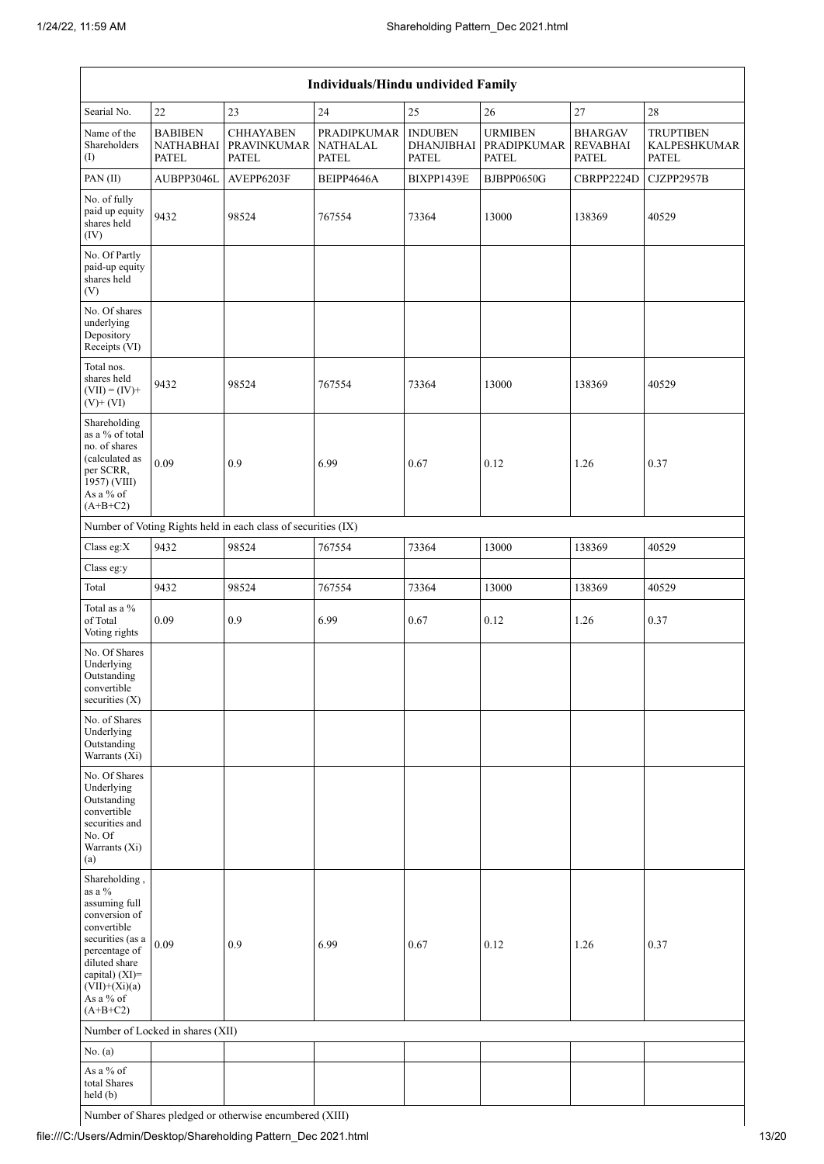| Individuals/Hindu undivided Family                                                                                                                                                                |                                                    |                                                               |                                                |                                                     |                                               |                                                   |                                                         |
|---------------------------------------------------------------------------------------------------------------------------------------------------------------------------------------------------|----------------------------------------------------|---------------------------------------------------------------|------------------------------------------------|-----------------------------------------------------|-----------------------------------------------|---------------------------------------------------|---------------------------------------------------------|
| Searial No.                                                                                                                                                                                       | 22                                                 | 23                                                            | 24                                             | 25                                                  | $26\,$                                        | 27                                                | 28                                                      |
| Name of the<br>Shareholders<br>(1)                                                                                                                                                                | <b>BABIBEN</b><br><b>NATHABHAI</b><br><b>PATEL</b> | <b>CHHAYABEN</b><br><b>PRAVINKUMAR</b><br><b>PATEL</b>        | PRADIPKUMAR<br><b>NATHALAL</b><br><b>PATEL</b> | <b>INDUBEN</b><br><b>DHANJIBHAI</b><br><b>PATEL</b> | <b>URMIBEN</b><br>PRADIPKUMAR<br><b>PATEL</b> | <b>BHARGAV</b><br><b>REVABHAI</b><br><b>PATEL</b> | <b>TRUPTIBEN</b><br><b>KALPESHKUMAR</b><br><b>PATEL</b> |
| PAN (II)                                                                                                                                                                                          | AUBPP3046L                                         | AVEPP6203F                                                    | BEIPP4646A                                     | BIXPP1439E                                          | BJBPP0650G                                    | CBRPP2224D                                        | CJZPP2957B                                              |
| No. of fully<br>paid up equity<br>shares held<br>(IV)                                                                                                                                             | 9432                                               | 98524                                                         | 767554                                         | 73364                                               | 13000                                         | 138369                                            | 40529                                                   |
| No. Of Partly<br>paid-up equity<br>shares held<br>(V)                                                                                                                                             |                                                    |                                                               |                                                |                                                     |                                               |                                                   |                                                         |
| No. Of shares<br>underlying<br>Depository<br>Receipts (VI)                                                                                                                                        |                                                    |                                                               |                                                |                                                     |                                               |                                                   |                                                         |
| Total nos.<br>shares held<br>$(VII) = (IV) +$<br>$(V)$ + $(VI)$                                                                                                                                   | 9432                                               | 98524                                                         | 767554                                         | 73364                                               | 13000                                         | 138369                                            | 40529                                                   |
| Shareholding<br>as a % of total<br>no. of shares<br>(calculated as<br>per SCRR,<br>1957) (VIII)<br>As a % of<br>$(A+B+C2)$                                                                        | 0.09                                               | 0.9                                                           | 6.99                                           | 0.67                                                | 0.12                                          | 1.26                                              | 0.37                                                    |
|                                                                                                                                                                                                   |                                                    | Number of Voting Rights held in each class of securities (IX) |                                                |                                                     |                                               |                                                   |                                                         |
| Class eg:X                                                                                                                                                                                        | 9432                                               | 98524                                                         | 767554                                         | 73364                                               | 13000                                         | 138369                                            | 40529                                                   |
| Class eg:y                                                                                                                                                                                        |                                                    |                                                               |                                                |                                                     |                                               |                                                   |                                                         |
| Total                                                                                                                                                                                             | 9432                                               | 98524                                                         | 767554                                         | 73364                                               | 13000                                         | 138369                                            | 40529                                                   |
| Total as a %<br>of Total<br>Voting rights                                                                                                                                                         | 0.09                                               | 0.9                                                           | 6.99                                           | 0.67                                                | 0.12                                          | 1.26                                              | 0.37                                                    |
| No. Of Shares<br>Underlying<br>Outstanding<br>convertible<br>securities $(X)$                                                                                                                     |                                                    |                                                               |                                                |                                                     |                                               |                                                   |                                                         |
| No. of Shares<br>Underlying<br>Outstanding<br>Warrants (Xi)                                                                                                                                       |                                                    |                                                               |                                                |                                                     |                                               |                                                   |                                                         |
| No. Of Shares<br>Underlying<br>Outstanding<br>convertible<br>securities and<br>No. Of<br>Warrants (Xi)<br>(a)                                                                                     |                                                    |                                                               |                                                |                                                     |                                               |                                                   |                                                         |
| Shareholding,<br>as a $\%$<br>assuming full<br>conversion of<br>convertible<br>securities (as a<br>percentage of<br>diluted share<br>capital) (XI)=<br>$(VII)+(Xi)(a)$<br>As a % of<br>$(A+B+C2)$ | 0.09                                               | 0.9                                                           | 6.99                                           | 0.67                                                | 0.12                                          | 1.26                                              | 0.37                                                    |
|                                                                                                                                                                                                   | Number of Locked in shares (XII)                   |                                                               |                                                |                                                     |                                               |                                                   |                                                         |
| No. (a)                                                                                                                                                                                           |                                                    |                                                               |                                                |                                                     |                                               |                                                   |                                                         |
| As a % of<br>total Shares<br>held (b)                                                                                                                                                             |                                                    |                                                               |                                                |                                                     |                                               |                                                   |                                                         |

Number of Shares pledged or otherwise encumbered (XIII)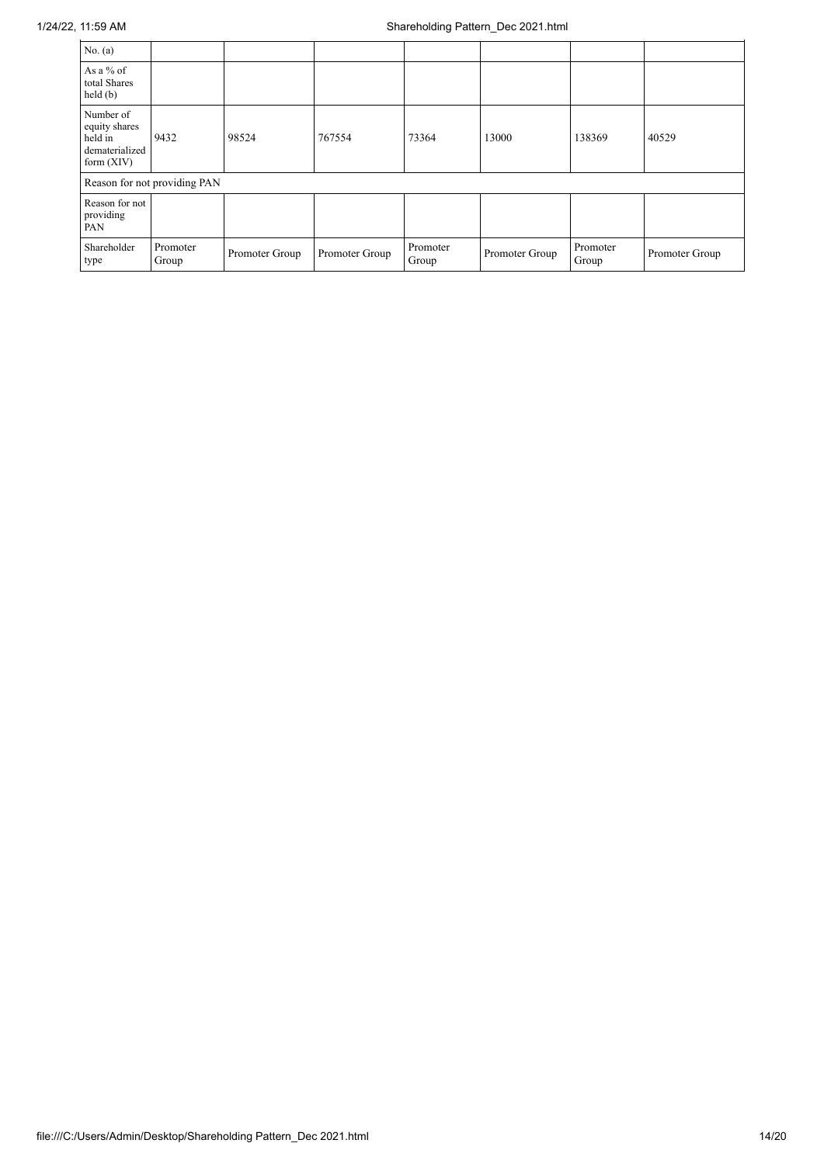| No. $(a)$                                                               |                   |                |                |                   |                |                   |                |
|-------------------------------------------------------------------------|-------------------|----------------|----------------|-------------------|----------------|-------------------|----------------|
| As a % of<br>total Shares<br>held(b)                                    |                   |                |                |                   |                |                   |                |
| Number of<br>equity shares<br>held in<br>dematerialized<br>form $(XIV)$ | 9432              | 98524          | 767554         | 73364             | 13000          | 138369            | 40529          |
| Reason for not providing PAN                                            |                   |                |                |                   |                |                   |                |
| Reason for not<br>providing<br>PAN                                      |                   |                |                |                   |                |                   |                |
| Shareholder<br>type                                                     | Promoter<br>Group | Promoter Group | Promoter Group | Promoter<br>Group | Promoter Group | Promoter<br>Group | Promoter Group |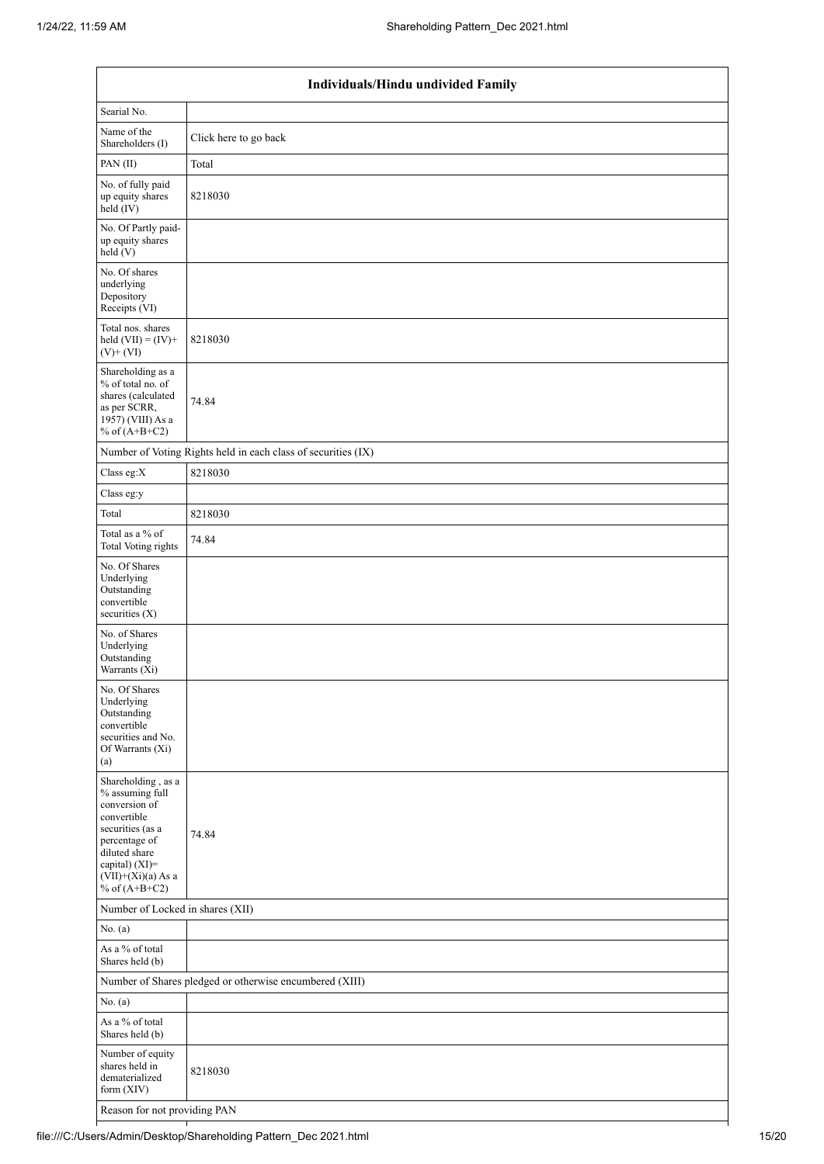| Individuals/Hindu undivided Family                                                                                                                                                       |                                                               |  |  |  |
|------------------------------------------------------------------------------------------------------------------------------------------------------------------------------------------|---------------------------------------------------------------|--|--|--|
| Searial No.                                                                                                                                                                              |                                                               |  |  |  |
| Name of the<br>Shareholders (I)                                                                                                                                                          | Click here to go back                                         |  |  |  |
| PAN (II)                                                                                                                                                                                 | Total                                                         |  |  |  |
| No. of fully paid<br>up equity shares<br>held (IV)                                                                                                                                       | 8218030                                                       |  |  |  |
| No. Of Partly paid-<br>up equity shares<br>held(V)                                                                                                                                       |                                                               |  |  |  |
| No. Of shares<br>underlying<br>Depository<br>Receipts (VI)                                                                                                                               |                                                               |  |  |  |
| Total nos. shares<br>held $(VII) = (IV) +$<br>$(V)$ + $(VI)$                                                                                                                             | 8218030                                                       |  |  |  |
| Shareholding as a<br>% of total no. of<br>shares (calculated<br>as per SCRR,<br>1957) (VIII) As a<br>% of $(A+B+C2)$                                                                     | 74.84                                                         |  |  |  |
|                                                                                                                                                                                          | Number of Voting Rights held in each class of securities (IX) |  |  |  |
| Class eg:X                                                                                                                                                                               | 8218030                                                       |  |  |  |
| Class eg:y                                                                                                                                                                               |                                                               |  |  |  |
| Total                                                                                                                                                                                    | 8218030                                                       |  |  |  |
| Total as a % of<br><b>Total Voting rights</b>                                                                                                                                            | 74.84                                                         |  |  |  |
| No. Of Shares<br>Underlying<br>Outstanding<br>convertible<br>securities (X)                                                                                                              |                                                               |  |  |  |
| No. of Shares<br>Underlying<br>Outstanding<br>Warrants (Xi)                                                                                                                              |                                                               |  |  |  |
| No. Of Shares<br>Underlying<br>Outstanding<br>convertible<br>securities and No.<br>Of Warrants (Xi)<br>(a)                                                                               |                                                               |  |  |  |
| Shareholding, as a<br>% assuming full<br>conversion of<br>convertible<br>securities (as a<br>percentage of<br>diluted share<br>capital) (XI)=<br>$(VII)+(Xi)(a)$ As a<br>% of $(A+B+C2)$ | 74.84                                                         |  |  |  |
| Number of Locked in shares (XII)                                                                                                                                                         |                                                               |  |  |  |
| No. (a)                                                                                                                                                                                  |                                                               |  |  |  |
| As a % of total<br>Shares held (b)                                                                                                                                                       |                                                               |  |  |  |
| Number of Shares pledged or otherwise encumbered (XIII)                                                                                                                                  |                                                               |  |  |  |
| No. (a)                                                                                                                                                                                  |                                                               |  |  |  |
| As a % of total<br>Shares held (b)                                                                                                                                                       |                                                               |  |  |  |
| Number of equity<br>shares held in<br>dematerialized<br>form (XIV)                                                                                                                       | 8218030                                                       |  |  |  |
| Reason for not providing PAN                                                                                                                                                             |                                                               |  |  |  |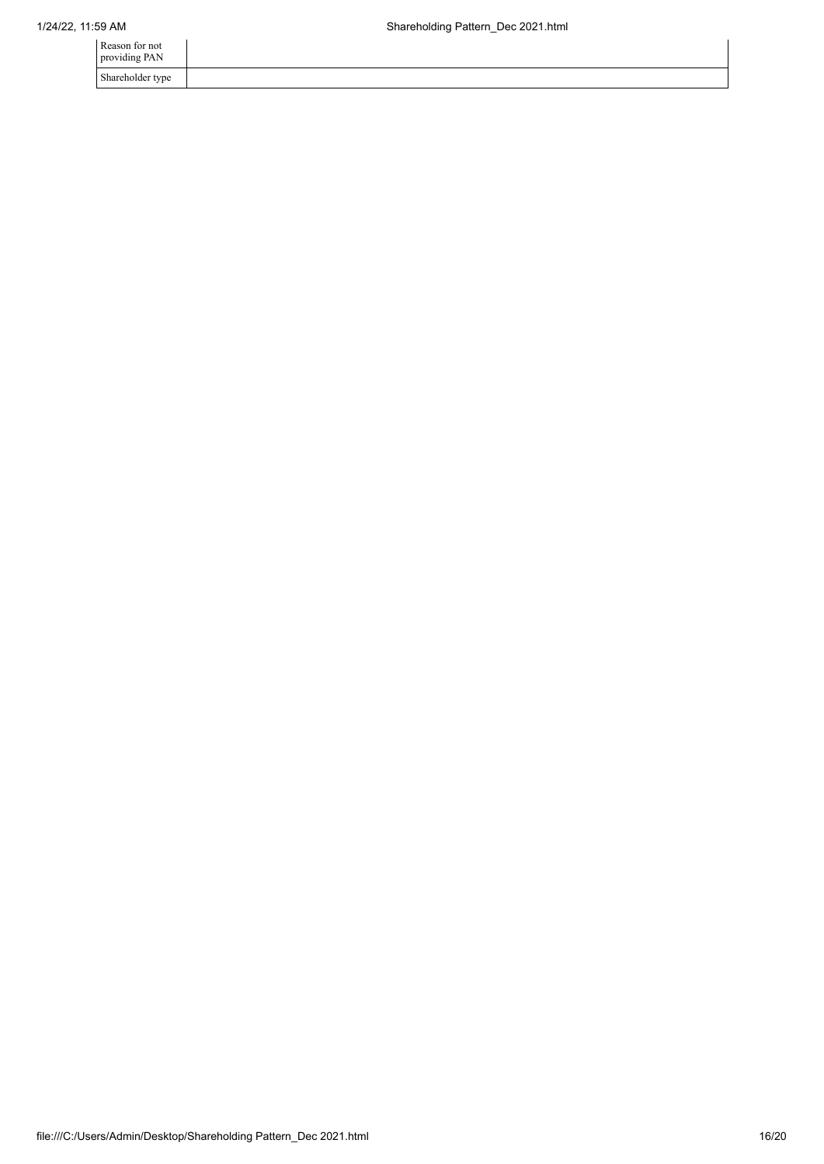| Reason for not<br>providing PAN |  |
|---------------------------------|--|
| Shareholder type                |  |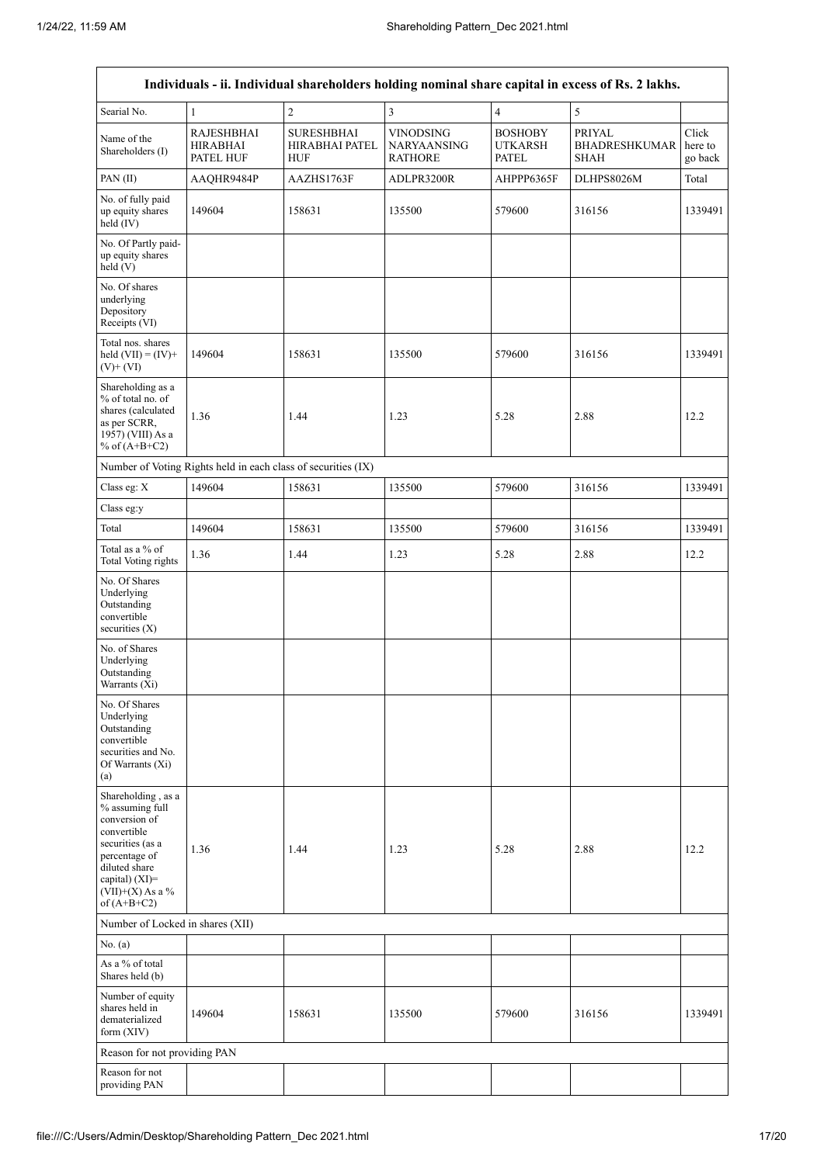| Individuals - ii. Individual shareholders holding nominal share capital in excess of Rs. 2 lakhs.                                                                                    |                                                               |                                            |                                                   |                                                  |                                               |                             |  |
|--------------------------------------------------------------------------------------------------------------------------------------------------------------------------------------|---------------------------------------------------------------|--------------------------------------------|---------------------------------------------------|--------------------------------------------------|-----------------------------------------------|-----------------------------|--|
| Searial No.                                                                                                                                                                          | $\mathbf{1}$                                                  | $\overline{c}$                             | $\mathfrak{Z}$                                    | $\overline{4}$                                   | $\sqrt{5}$                                    |                             |  |
| Name of the<br>Shareholders (I)                                                                                                                                                      | <b>RAJESHBHAI</b><br><b>HIRABHAI</b><br>PATEL HUF             | <b>SURESHBHAI</b><br>HIRABHAI PATEL<br>HUF | <b>VINODSING</b><br>NARYAANSING<br><b>RATHORE</b> | <b>BOSHOBY</b><br><b>UTKARSH</b><br><b>PATEL</b> | PRIYAL<br><b>BHADRESHKUMAR</b><br><b>SHAH</b> | Click<br>here to<br>go back |  |
| PAN(II)                                                                                                                                                                              | AAQHR9484P                                                    | AAZHS1763F                                 | ADLPR3200R                                        | AHPPP6365F                                       | DLHPS8026M                                    | Total                       |  |
| No. of fully paid<br>up equity shares<br>held (IV)                                                                                                                                   | 149604                                                        | 158631                                     | 135500                                            | 579600                                           | 316156                                        | 1339491                     |  |
| No. Of Partly paid-<br>up equity shares<br>held(V)                                                                                                                                   |                                                               |                                            |                                                   |                                                  |                                               |                             |  |
| No. Of shares<br>underlying<br>Depository<br>Receipts (VI)                                                                                                                           |                                                               |                                            |                                                   |                                                  |                                               |                             |  |
| Total nos. shares<br>held $(VII) = (IV) +$<br>$(V)$ + $(VI)$                                                                                                                         | 149604                                                        | 158631                                     | 135500                                            | 579600                                           | 316156                                        | 1339491                     |  |
| Shareholding as a<br>% of total no. of<br>shares (calculated<br>as per SCRR,<br>1957) (VIII) As a<br>% of $(A+B+C2)$                                                                 | 1.36                                                          | 1.44                                       | 1.23                                              | 5.28                                             | 2.88                                          | 12.2                        |  |
|                                                                                                                                                                                      | Number of Voting Rights held in each class of securities (IX) |                                            |                                                   |                                                  |                                               |                             |  |
| Class eg: X                                                                                                                                                                          | 149604                                                        | 158631                                     | 135500                                            | 579600                                           | 316156                                        | 1339491                     |  |
| Class eg:y                                                                                                                                                                           |                                                               |                                            |                                                   |                                                  |                                               |                             |  |
| Total                                                                                                                                                                                | 149604                                                        | 158631                                     | 135500                                            | 579600                                           | 316156                                        | 1339491                     |  |
| Total as a % of<br><b>Total Voting rights</b>                                                                                                                                        | 1.36                                                          | 1.44                                       | 1.23                                              | 5.28                                             | 2.88                                          | 12.2                        |  |
| No. Of Shares<br>Underlying<br>Outstanding<br>convertible<br>securities (X)                                                                                                          |                                                               |                                            |                                                   |                                                  |                                               |                             |  |
| No. of Shares<br>Underlying<br>Outstanding<br>Warrants (Xi)                                                                                                                          |                                                               |                                            |                                                   |                                                  |                                               |                             |  |
| No. Of Shares<br>Underlying<br>Outstanding<br>convertible<br>securities and No.<br>Of Warrants (Xi)<br>(a)                                                                           |                                                               |                                            |                                                   |                                                  |                                               |                             |  |
| Shareholding, as a<br>% assuming full<br>conversion of<br>convertible<br>securities (as a<br>percentage of<br>diluted share<br>capital) (XI)=<br>$(VII)+(X)$ As a %<br>of $(A+B+C2)$ | 1.36                                                          | 1.44                                       | 1.23                                              | 5.28                                             | 2.88                                          | 12.2                        |  |
| Number of Locked in shares (XII)                                                                                                                                                     |                                                               |                                            |                                                   |                                                  |                                               |                             |  |
| No. (a)                                                                                                                                                                              |                                                               |                                            |                                                   |                                                  |                                               |                             |  |
| As a % of total<br>Shares held (b)                                                                                                                                                   |                                                               |                                            |                                                   |                                                  |                                               |                             |  |
| Number of equity<br>shares held in<br>dematerialized<br>form (XIV)                                                                                                                   | 149604                                                        | 158631                                     | 135500                                            | 579600                                           | 316156                                        | 1339491                     |  |
| Reason for not providing PAN                                                                                                                                                         |                                                               |                                            |                                                   |                                                  |                                               |                             |  |
| Reason for not<br>providing PAN                                                                                                                                                      |                                                               |                                            |                                                   |                                                  |                                               |                             |  |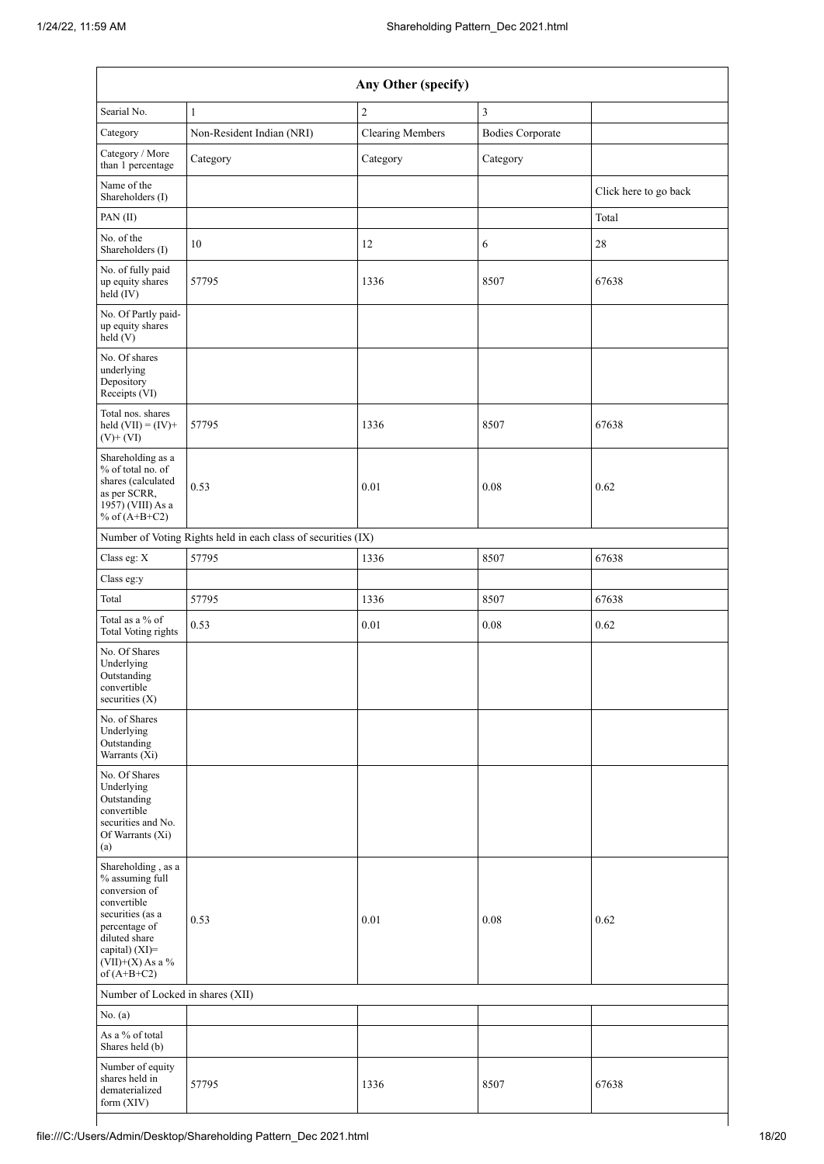| Any Other (specify)                                                                                                                                                                  |                                                               |                         |                         |                       |  |  |
|--------------------------------------------------------------------------------------------------------------------------------------------------------------------------------------|---------------------------------------------------------------|-------------------------|-------------------------|-----------------------|--|--|
| Searial No.                                                                                                                                                                          | $\mathbf{1}$                                                  | $\overline{c}$          | 3                       |                       |  |  |
| Category                                                                                                                                                                             | Non-Resident Indian (NRI)                                     | <b>Clearing Members</b> | <b>Bodies Corporate</b> |                       |  |  |
| Category / More<br>than 1 percentage                                                                                                                                                 | Category                                                      | Category                | Category                |                       |  |  |
| Name of the<br>Shareholders (I)                                                                                                                                                      |                                                               |                         |                         | Click here to go back |  |  |
| PAN(II)                                                                                                                                                                              |                                                               |                         |                         | Total                 |  |  |
| No. of the<br>Shareholders (I)                                                                                                                                                       | 10                                                            | 12                      | 6                       | 28                    |  |  |
| No. of fully paid<br>up equity shares<br>held (IV)                                                                                                                                   | 57795                                                         | 1336                    | 8507                    | 67638                 |  |  |
| No. Of Partly paid-<br>up equity shares<br>held (V)                                                                                                                                  |                                                               |                         |                         |                       |  |  |
| No. Of shares<br>underlying<br>Depository<br>Receipts (VI)                                                                                                                           |                                                               |                         |                         |                       |  |  |
| Total nos. shares<br>held $(VII) = (IV) +$<br>$(V)$ + $(VI)$                                                                                                                         | 57795                                                         | 1336                    | 8507                    | 67638                 |  |  |
| Shareholding as a<br>% of total no. of<br>shares (calculated<br>as per SCRR,<br>1957) (VIII) As a<br>% of $(A+B+C2)$                                                                 | 0.53                                                          | 0.01                    | 0.08                    | 0.62                  |  |  |
|                                                                                                                                                                                      | Number of Voting Rights held in each class of securities (IX) |                         |                         |                       |  |  |
| Class eg: X                                                                                                                                                                          | 57795                                                         | 1336                    | 8507                    | 67638                 |  |  |
| Class eg:y                                                                                                                                                                           |                                                               |                         |                         |                       |  |  |
| Total                                                                                                                                                                                | 57795                                                         | 1336                    | 8507                    | 67638                 |  |  |
| Total as a % of<br><b>Total Voting rights</b>                                                                                                                                        | 0.53                                                          | 0.01                    | $0.08\,$                | 0.62                  |  |  |
| No. Of Shares<br>Underlying<br>Outstanding<br>convertible<br>securities $(X)$                                                                                                        |                                                               |                         |                         |                       |  |  |
| No. of Shares<br>Underlying<br>Outstanding<br>Warrants (Xi)                                                                                                                          |                                                               |                         |                         |                       |  |  |
| No. Of Shares<br>Underlying<br>Outstanding<br>convertible<br>securities and No.<br>Of Warrants (Xi)<br>(a)                                                                           |                                                               |                         |                         |                       |  |  |
| Shareholding, as a<br>% assuming full<br>conversion of<br>convertible<br>securities (as a<br>percentage of<br>diluted share<br>capital) (XI)=<br>$(VII)+(X)$ As a %<br>of $(A+B+C2)$ | 0.53                                                          | 0.01                    | 0.08                    | 0.62                  |  |  |
| Number of Locked in shares (XII)                                                                                                                                                     |                                                               |                         |                         |                       |  |  |
| No. (a)                                                                                                                                                                              |                                                               |                         |                         |                       |  |  |
| As a % of total<br>Shares held (b)                                                                                                                                                   |                                                               |                         |                         |                       |  |  |
| Number of equity<br>shares held in<br>dematerialized<br>form (XIV)                                                                                                                   | 57795                                                         | 1336                    | 8507                    | 67638                 |  |  |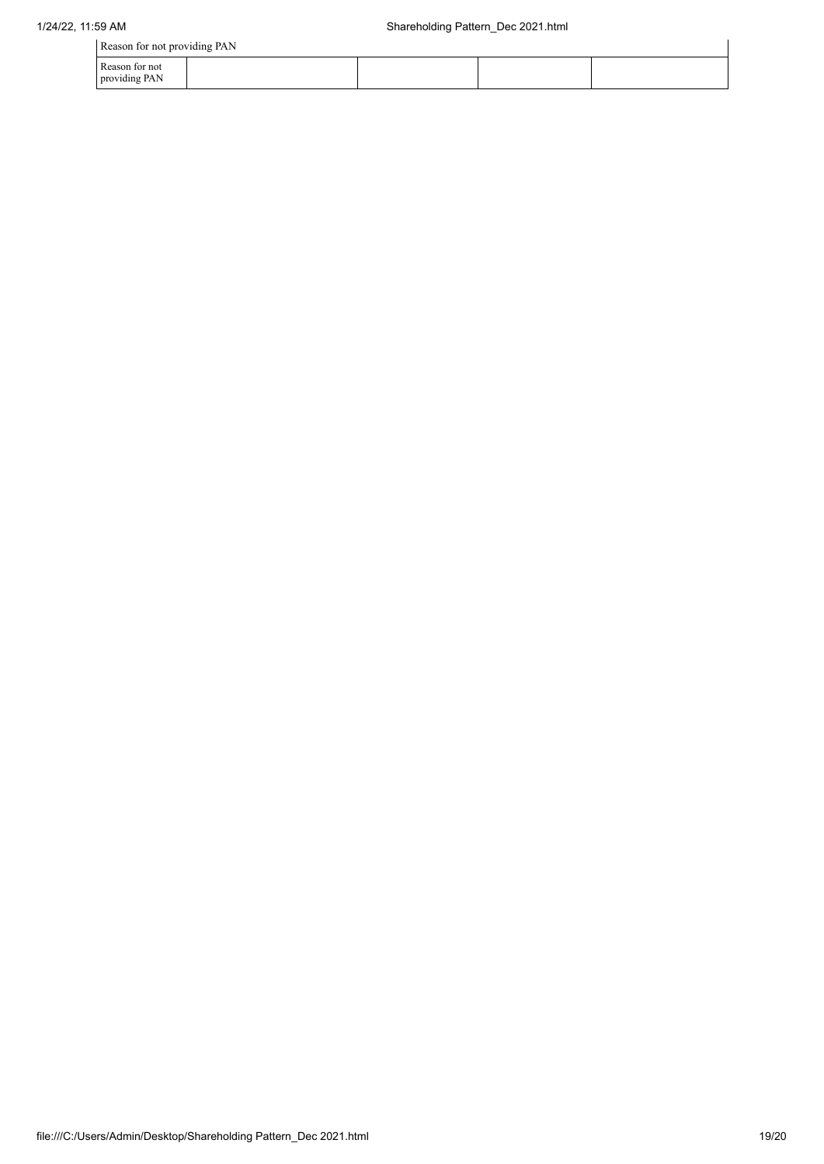| Reason for not providing PAN    |  |  |  |  |  |
|---------------------------------|--|--|--|--|--|
| Reason for not<br>providing PAN |  |  |  |  |  |